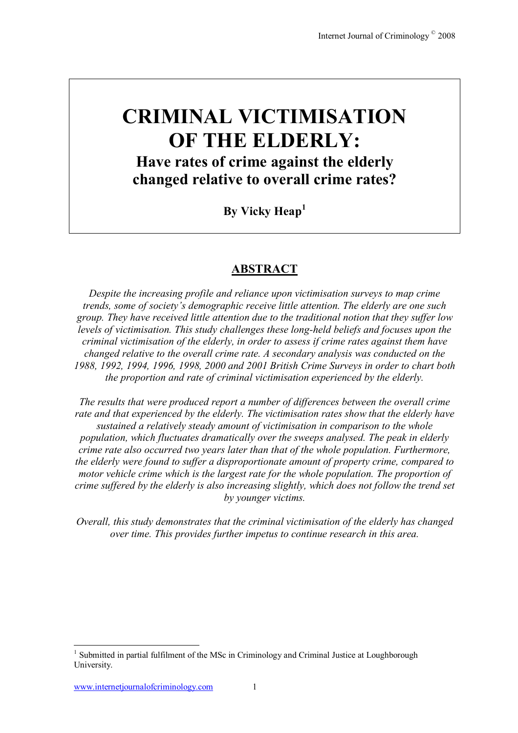# **CRIMINAL VICTIMISATION OF THE ELDERLY: Have rates of crime against the elderly changed relative to overall crime rates?**

**By Vicky Heap<sup>1</sup>**

# **ABSTRACT**

*Despite the increasing profile and reliance upon victimisation surveys to map crime trends, some of society's demographic receive little attention. The elderly are one such group. They have received little attention due to the traditional notion that they suffer low levels of victimisation. This study challenges these long-held beliefs and focuses upon the criminal victimisation of the elderly, in order to assess if crime rates against them have changed relative to the overall crime rate. A secondary analysis was conducted on the 1988, 1992, 1994, 1996, 1998, 2000 and 2001 British Crime Surveys in order to chart both the proportion and rate of criminal victimisation experienced by the elderly.* 

*The results that were produced report a number of differences between the overall crime rate and that experienced by the elderly. The victimisation rates show that the elderly have sustained a relatively steady amount of victimisation in comparison to the whole population, which fluctuates dramatically over the sweeps analysed. The peak in elderly crime rate also occurred two years later than that of the whole population. Furthermore, the elderly were found to suffer a disproportionate amount of property crime, compared to motor vehicle crime which is the largest rate for the whole population. The proportion of crime suffered by the elderly is also increasing slightly, which does not follow the trend set by younger victims.* 

*Overall, this study demonstrates that the criminal victimisation of the elderly has changed over time. This provides further impetus to continue research in this area.* 

 $\overline{a}$ 

<sup>&</sup>lt;sup>1</sup> Submitted in partial fulfilment of the MSc in Criminology and Criminal Justice at Loughborough University.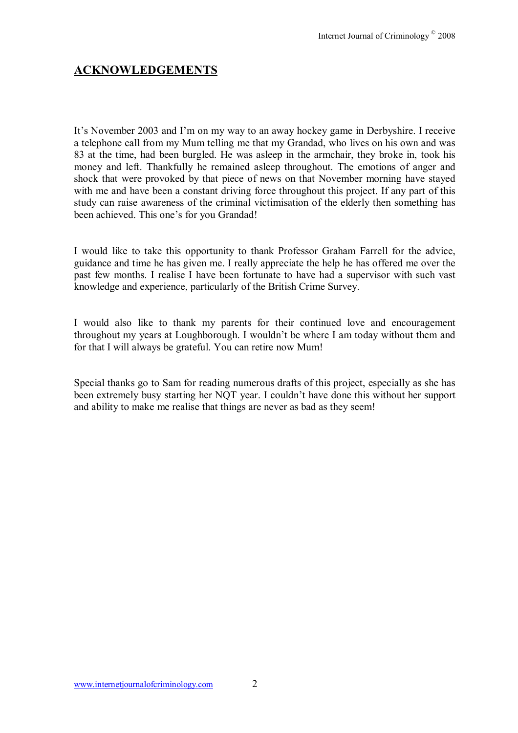# **ACKNOWLEDGEMENTS**

It's November 2003 and I'm on my way to an away hockey game in Derbyshire. I receive a telephone call from my Mum telling me that my Grandad, who lives on his own and was 83 at the time, had been burgled. He was asleep in the armchair, they broke in, took his money and left. Thankfully he remained asleep throughout. The emotions of anger and shock that were provoked by that piece of news on that November morning have stayed with me and have been a constant driving force throughout this project. If any part of this study can raise awareness of the criminal victimisation of the elderly then something has been achieved. This one's for you Grandad!

I would like to take this opportunity to thank Professor Graham Farrell for the advice, guidance and time he has given me. I really appreciate the help he has offered me over the past few months. I realise I have been fortunate to have had a supervisor with such vast knowledge and experience, particularly of the British Crime Survey.

I would also like to thank my parents for their continued love and encouragement throughout my years at Loughborough. I wouldn't be where I am today without them and for that I will always be grateful. You can retire now Mum!

Special thanks go to Sam for reading numerous drafts of this project, especially as she has been extremely busy starting her NQT year. I couldn't have done this without her support and ability to make me realise that things are never as bad as they seem!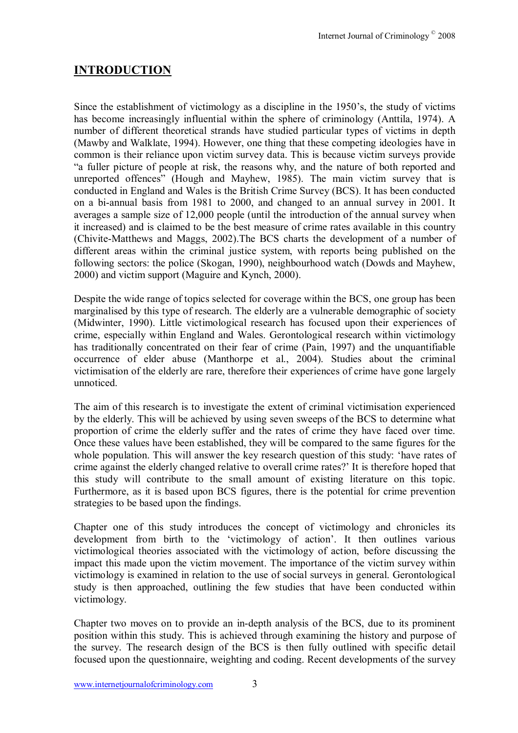# **INTRODUCTION**

Since the establishment of victimology as a discipline in the  $1950$ 's, the study of victims has become increasingly influential within the sphere of criminology (Anttila, 1974). A number of different theoretical strands have studied particular types of victims in depth (Mawby and Walklate, 1994). However, one thing that these competing ideologies have in common is their reliance upon victim survey data. This is because victim surveys provide ìa fuller picture of people at risk, the reasons why, and the nature of both reported and unreported offences<sup>"</sup> (Hough and Mayhew, 1985). The main victim survey that is conducted in England and Wales is the British Crime Survey (BCS). It has been conducted on a bi-annual basis from 1981 to 2000, and changed to an annual survey in 2001. It averages a sample size of 12,000 people (until the introduction of the annual survey when it increased) and is claimed to be the best measure of crime rates available in this country (Chivite-Matthews and Maggs, 2002).The BCS charts the development of a number of different areas within the criminal justice system, with reports being published on the following sectors: the police (Skogan, 1990), neighbourhood watch (Dowds and Mayhew, 2000) and victim support (Maguire and Kynch, 2000).

Despite the wide range of topics selected for coverage within the BCS, one group has been marginalised by this type of research. The elderly are a vulnerable demographic of society (Midwinter, 1990). Little victimological research has focused upon their experiences of crime, especially within England and Wales. Gerontological research within victimology has traditionally concentrated on their fear of crime (Pain, 1997) and the unquantifiable occurrence of elder abuse (Manthorpe et al., 2004). Studies about the criminal victimisation of the elderly are rare, therefore their experiences of crime have gone largely unnoticed.

The aim of this research is to investigate the extent of criminal victimisation experienced by the elderly. This will be achieved by using seven sweeps of the BCS to determine what proportion of crime the elderly suffer and the rates of crime they have faced over time. Once these values have been established, they will be compared to the same figures for the whole population. This will answer the key research question of this study: 'have rates of crime against the elderly changed relative to overall crime rates? It is therefore hoped that this study will contribute to the small amount of existing literature on this topic. Furthermore, as it is based upon BCS figures, there is the potential for crime prevention strategies to be based upon the findings.

Chapter one of this study introduces the concept of victimology and chronicles its development from birth to the 'victimology of action'. It then outlines various victimological theories associated with the victimology of action, before discussing the impact this made upon the victim movement. The importance of the victim survey within victimology is examined in relation to the use of social surveys in general. Gerontological study is then approached, outlining the few studies that have been conducted within victimology.

Chapter two moves on to provide an in-depth analysis of the BCS, due to its prominent position within this study. This is achieved through examining the history and purpose of the survey. The research design of the BCS is then fully outlined with specific detail focused upon the questionnaire, weighting and coding. Recent developments of the survey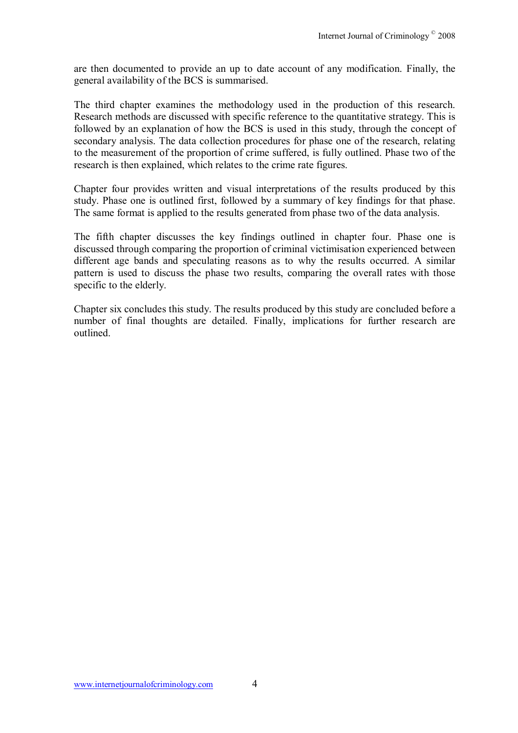are then documented to provide an up to date account of any modification. Finally, the general availability of the BCS is summarised.

The third chapter examines the methodology used in the production of this research. Research methods are discussed with specific reference to the quantitative strategy. This is followed by an explanation of how the BCS is used in this study, through the concept of secondary analysis. The data collection procedures for phase one of the research, relating to the measurement of the proportion of crime suffered, is fully outlined. Phase two of the research is then explained, which relates to the crime rate figures.

Chapter four provides written and visual interpretations of the results produced by this study. Phase one is outlined first, followed by a summary of key findings for that phase. The same format is applied to the results generated from phase two of the data analysis.

The fifth chapter discusses the key findings outlined in chapter four. Phase one is discussed through comparing the proportion of criminal victimisation experienced between different age bands and speculating reasons as to why the results occurred. A similar pattern is used to discuss the phase two results, comparing the overall rates with those specific to the elderly.

Chapter six concludes this study. The results produced by this study are concluded before a number of final thoughts are detailed. Finally, implications for further research are outlined.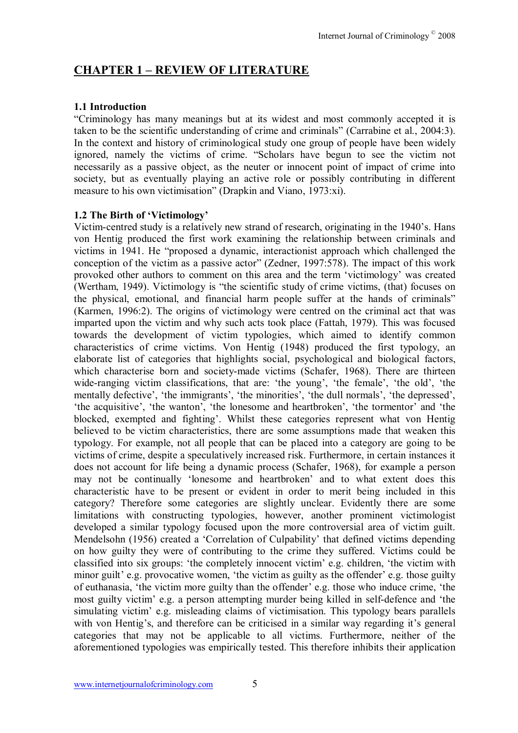# **CHAPTER 1 - REVIEW OF LITERATURE**

#### **1.1 Introduction**

ìCriminology has many meanings but at its widest and most commonly accepted it is taken to be the scientific understanding of crime and criminals" (Carrabine et al., 2004:3). In the context and history of criminological study one group of people have been widely ignored, namely the victims of crime. "Scholars have begun to see the victim not necessarily as a passive object, as the neuter or innocent point of impact of crime into society, but as eventually playing an active role or possibly contributing in different measure to his own victimisation" (Drapkin and Viano, 1973:xi).

#### **1.2 The Birth of 'Victimology'**

Victim-centred study is a relatively new strand of research, originating in the 1940's. Hans von Hentig produced the first work examining the relationship between criminals and victims in 1941. He "proposed a dynamic, interactionist approach which challenged the conception of the victim as a passive actor" (Zedner, 1997:578). The impact of this work provoked other authors to comment on this area and the term 'victimology' was created (Wertham, 1949). Victimology is "the scientific study of crime victims, (that) focuses on the physical, emotional, and financial harm people suffer at the hands of criminals" (Karmen, 1996:2). The origins of victimology were centred on the criminal act that was imparted upon the victim and why such acts took place (Fattah, 1979). This was focused towards the development of victim typologies, which aimed to identify common characteristics of crime victims. Von Hentig (1948) produced the first typology, an elaborate list of categories that highlights social, psychological and biological factors, which characterise born and society-made victims (Schafer, 1968). There are thirteen wide-ranging victim classifications, that are: 'the young', 'the female', 'the old', 'the mentally defective', 'the immigrants', 'the minorities', 'the dull normals', 'the depressed', 'the acquisitive', 'the wanton', 'the lonesome and heartbroken', 'the tormentor' and 'the blocked, exempted and fighting'. Whilst these categories represent what von Hentig believed to be victim characteristics, there are some assumptions made that weaken this typology. For example, not all people that can be placed into a category are going to be victims of crime, despite a speculatively increased risk. Furthermore, in certain instances it does not account for life being a dynamic process (Schafer, 1968), for example a person may not be continually 'lonesome and heartbroken' and to what extent does this characteristic have to be present or evident in order to merit being included in this category? Therefore some categories are slightly unclear. Evidently there are some limitations with constructing typologies, however, another prominent victimologist developed a similar typology focused upon the more controversial area of victim guilt. Mendelsohn (1956) created a 'Correlation of Culpability' that defined victims depending on how guilty they were of contributing to the crime they suffered. Victims could be classified into six groups: 'the completely innocent victim' e.g. children, 'the victim with minor guilt' e.g. provocative women, 'the victim as guilty as the offender' e.g. those guilty of euthanasia, 'the victim more guilty than the offender' e.g. those who induce crime, 'the most guilty victim<sup>'</sup> e.g. a person attempting murder being killed in self-defence and 'the simulating victim<sup>'</sup> e.g. misleading claims of victimisation. This typology bears parallels with von Hentig's, and therefore can be criticised in a similar way regarding it's general categories that may not be applicable to all victims. Furthermore, neither of the aforementioned typologies was empirically tested. This therefore inhibits their application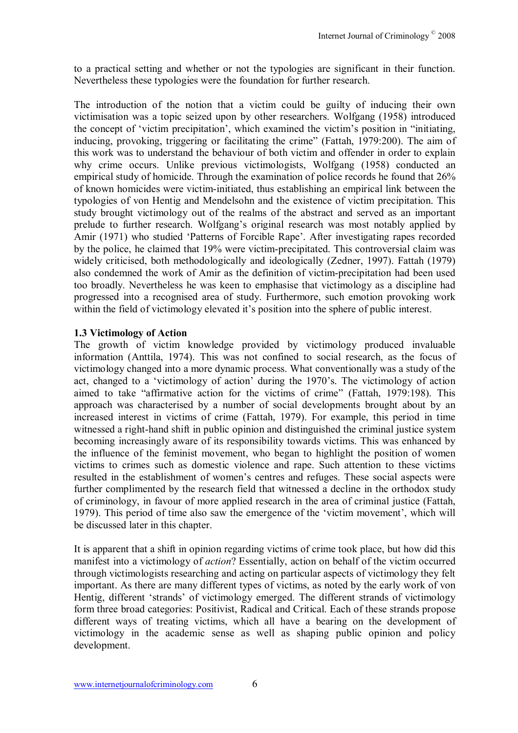to a practical setting and whether or not the typologies are significant in their function. Nevertheless these typologies were the foundation for further research.

The introduction of the notion that a victim could be guilty of inducing their own victimisation was a topic seized upon by other researchers. Wolfgang (1958) introduced the concept of 'victim precipitation', which examined the victim's position in "initiating, inducing, provoking, triggering or facilitating the crime" (Fattah,  $1979:200$ ). The aim of this work was to understand the behaviour of both victim and offender in order to explain why crime occurs. Unlike previous victimologists, Wolfgang (1958) conducted an empirical study of homicide. Through the examination of police records he found that 26% of known homicides were victim-initiated, thus establishing an empirical link between the typologies of von Hentig and Mendelsohn and the existence of victim precipitation. This study brought victimology out of the realms of the abstract and served as an important prelude to further research. Wolfgang's original research was most notably applied by Amir (1971) who studied 'Patterns of Forcible Rape'. After investigating rapes recorded by the police, he claimed that 19% were victim-precipitated. This controversial claim was widely criticised, both methodologically and ideologically (Zedner, 1997). Fattah (1979) also condemned the work of Amir as the definition of victim-precipitation had been used too broadly. Nevertheless he was keen to emphasise that victimology as a discipline had progressed into a recognised area of study. Furthermore, such emotion provoking work within the field of victimology elevated it's position into the sphere of public interest.

#### **1.3 Victimology of Action**

The growth of victim knowledge provided by victimology produced invaluable information (Anttila, 1974). This was not confined to social research, as the focus of victimology changed into a more dynamic process. What conventionally was a study of the act, changed to a 'victimology of action' during the 1970's. The victimology of action aimed to take "affirmative action for the victims of crime" (Fattah, 1979:198). This approach was characterised by a number of social developments brought about by an increased interest in victims of crime (Fattah, 1979). For example, this period in time witnessed a right-hand shift in public opinion and distinguished the criminal justice system becoming increasingly aware of its responsibility towards victims. This was enhanced by the influence of the feminist movement, who began to highlight the position of women victims to crimes such as domestic violence and rape. Such attention to these victims resulted in the establishment of women's centres and refuges. These social aspects were further complimented by the research field that witnessed a decline in the orthodox study of criminology, in favour of more applied research in the area of criminal justice (Fattah, 1979). This period of time also saw the emergence of the 'victim movement', which will be discussed later in this chapter.

It is apparent that a shift in opinion regarding victims of crime took place, but how did this manifest into a victimology of *action*? Essentially, action on behalf of the victim occurred through victimologists researching and acting on particular aspects of victimology they felt important. As there are many different types of victims, as noted by the early work of von Hentig, different 'strands' of victimology emerged. The different strands of victimology form three broad categories: Positivist, Radical and Critical. Each of these strands propose different ways of treating victims, which all have a bearing on the development of victimology in the academic sense as well as shaping public opinion and policy development.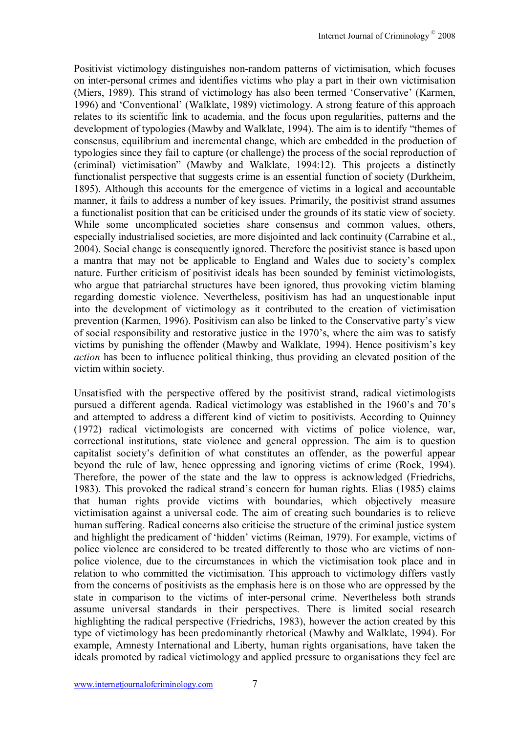Positivist victimology distinguishes non-random patterns of victimisation, which focuses on inter-personal crimes and identifies victims who play a part in their own victimisation (Miers, 1989). This strand of victimology has also been termed 'Conservative' (Karmen, 1996) and 'Conventional' (Walklate, 1989) victimology. A strong feature of this approach relates to its scientific link to academia, and the focus upon regularities, patterns and the development of typologies (Mawby and Walklate, 1994). The aim is to identify "themes of consensus, equilibrium and incremental change, which are embedded in the production of typologies since they fail to capture (or challenge) the process of the social reproduction of (criminal) victimisationî (Mawby and Walklate, 1994:12). This projects a distinctly functionalist perspective that suggests crime is an essential function of society (Durkheim, 1895). Although this accounts for the emergence of victims in a logical and accountable manner, it fails to address a number of key issues. Primarily, the positivist strand assumes a functionalist position that can be criticised under the grounds of its static view of society. While some uncomplicated societies share consensus and common values, others, especially industrialised societies, are more disjointed and lack continuity (Carrabine et al., 2004). Social change is consequently ignored. Therefore the positivist stance is based upon a mantra that may not be applicable to England and Wales due to societyís complex nature. Further criticism of positivist ideals has been sounded by feminist victimologists, who argue that patriarchal structures have been ignored, thus provoking victim blaming regarding domestic violence. Nevertheless, positivism has had an unquestionable input into the development of victimology as it contributed to the creation of victimisation prevention (Karmen, 1996). Positivism can also be linked to the Conservative partyís view of social responsibility and restorative justice in the 1970's, where the aim was to satisfy victims by punishing the offender (Mawby and Walklate, 1994). Hence positivism's key *action* has been to influence political thinking, thus providing an elevated position of the victim within society.

Unsatisfied with the perspective offered by the positivist strand, radical victimologists pursued a different agenda. Radical victimology was established in the 1960's and 70's and attempted to address a different kind of victim to positivists. According to Quinney (1972) radical victimologists are concerned with victims of police violence, war, correctional institutions, state violence and general oppression. The aim is to question capitalist societyís definition of what constitutes an offender, as the powerful appear beyond the rule of law, hence oppressing and ignoring victims of crime (Rock, 1994). Therefore, the power of the state and the law to oppress is acknowledged (Friedrichs, 1983). This provoked the radical strand's concern for human rights. Elias (1985) claims that human rights provide victims with boundaries, which objectively measure victimisation against a universal code. The aim of creating such boundaries is to relieve human suffering. Radical concerns also criticise the structure of the criminal justice system and highlight the predicament of 'hidden' victims (Reiman, 1979). For example, victims of police violence are considered to be treated differently to those who are victims of nonpolice violence, due to the circumstances in which the victimisation took place and in relation to who committed the victimisation. This approach to victimology differs vastly from the concerns of positivists as the emphasis here is on those who are oppressed by the state in comparison to the victims of inter-personal crime. Nevertheless both strands assume universal standards in their perspectives. There is limited social research highlighting the radical perspective (Friedrichs, 1983), however the action created by this type of victimology has been predominantly rhetorical (Mawby and Walklate, 1994). For example, Amnesty International and Liberty, human rights organisations, have taken the ideals promoted by radical victimology and applied pressure to organisations they feel are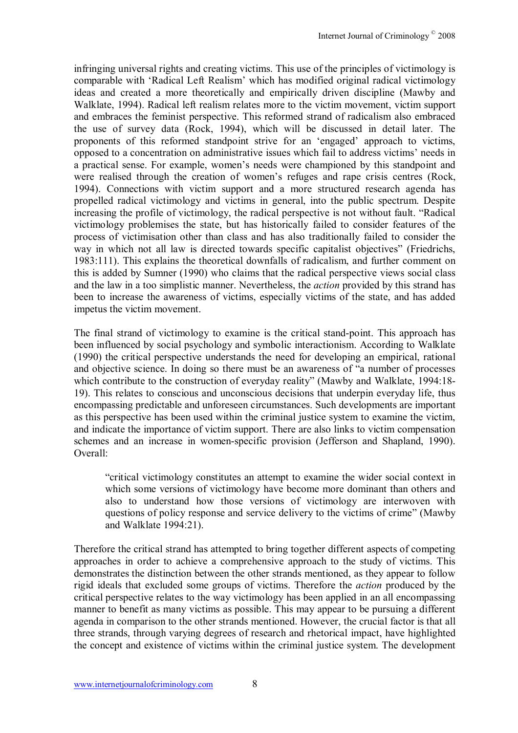infringing universal rights and creating victims. This use of the principles of victimology is comparable with 'Radical Left Realism' which has modified original radical victimology ideas and created a more theoretically and empirically driven discipline (Mawby and Walklate, 1994). Radical left realism relates more to the victim movement, victim support and embraces the feminist perspective. This reformed strand of radicalism also embraced the use of survey data (Rock, 1994), which will be discussed in detail later. The proponents of this reformed standpoint strive for an 'engaged' approach to victims, opposed to a concentration on administrative issues which fail to address victims' needs in a practical sense. For example, women's needs were championed by this standpoint and were realised through the creation of women's refuges and rape crisis centres (Rock, 1994). Connections with victim support and a more structured research agenda has propelled radical victimology and victims in general, into the public spectrum. Despite increasing the profile of victimology, the radical perspective is not without fault. "Radical victimology problemises the state, but has historically failed to consider features of the process of victimisation other than class and has also traditionally failed to consider the way in which not all law is directed towards specific capitalist objectives" (Friedrichs, 1983:111). This explains the theoretical downfalls of radicalism, and further comment on this is added by Sumner (1990) who claims that the radical perspective views social class and the law in a too simplistic manner. Nevertheless, the *action* provided by this strand has been to increase the awareness of victims, especially victims of the state, and has added impetus the victim movement.

The final strand of victimology to examine is the critical stand-point. This approach has been influenced by social psychology and symbolic interactionism. According to Walklate (1990) the critical perspective understands the need for developing an empirical, rational and objective science. In doing so there must be an awareness of "a number of processes" which contribute to the construction of everyday reality" (Mawby and Walklate, 1994:18-19). This relates to conscious and unconscious decisions that underpin everyday life, thus encompassing predictable and unforeseen circumstances. Such developments are important as this perspective has been used within the criminal justice system to examine the victim, and indicate the importance of victim support. There are also links to victim compensation schemes and an increase in women-specific provision (Jefferson and Shapland, 1990). Overall:

ìcritical victimology constitutes an attempt to examine the wider social context in which some versions of victimology have become more dominant than others and also to understand how those versions of victimology are interwoven with questions of policy response and service delivery to the victims of crime" (Mawby and Walklate 1994:21).

Therefore the critical strand has attempted to bring together different aspects of competing approaches in order to achieve a comprehensive approach to the study of victims. This demonstrates the distinction between the other strands mentioned, as they appear to follow rigid ideals that excluded some groups of victims. Therefore the *action* produced by the critical perspective relates to the way victimology has been applied in an all encompassing manner to benefit as many victims as possible. This may appear to be pursuing a different agenda in comparison to the other strands mentioned. However, the crucial factor is that all three strands, through varying degrees of research and rhetorical impact, have highlighted the concept and existence of victims within the criminal justice system. The development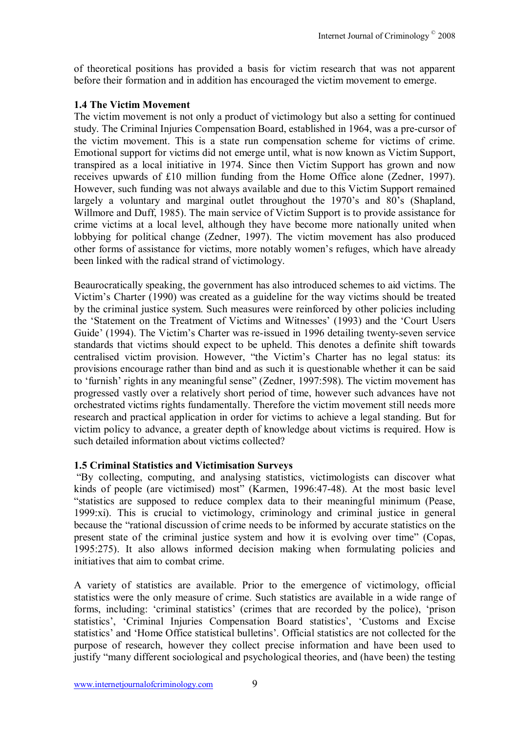of theoretical positions has provided a basis for victim research that was not apparent before their formation and in addition has encouraged the victim movement to emerge.

### **1.4 The Victim Movement**

The victim movement is not only a product of victimology but also a setting for continued study. The Criminal Injuries Compensation Board, established in 1964, was a pre-cursor of the victim movement. This is a state run compensation scheme for victims of crime. Emotional support for victims did not emerge until, what is now known as Victim Support, transpired as a local initiative in 1974. Since then Victim Support has grown and now receives upwards of £10 million funding from the Home Office alone (Zedner, 1997). However, such funding was not always available and due to this Victim Support remained largely a voluntary and marginal outlet throughout the 1970's and 80's (Shapland, Willmore and Duff, 1985). The main service of Victim Support is to provide assistance for crime victims at a local level, although they have become more nationally united when lobbying for political change (Zedner, 1997). The victim movement has also produced other forms of assistance for victims, more notably women's refuges, which have already been linked with the radical strand of victimology.

Beaurocratically speaking, the government has also introduced schemes to aid victims. The Victim's Charter (1990) was created as a guideline for the way victims should be treated by the criminal justice system. Such measures were reinforced by other policies including the 'Statement on the Treatment of Victims and Witnesses' (1993) and the 'Court Users Guide' (1994). The Victim's Charter was re-issued in 1996 detailing twenty-seven service standards that victims should expect to be upheld. This denotes a definite shift towards centralised victim provision. However, "the Victim's Charter has no legal status: its provisions encourage rather than bind and as such it is questionable whether it can be said to 'furnish' rights in any meaningful sense" (Zedner, 1997:598). The victim movement has progressed vastly over a relatively short period of time, however such advances have not orchestrated victims rights fundamentally. Therefore the victim movement still needs more research and practical application in order for victims to achieve a legal standing. But for victim policy to advance, a greater depth of knowledge about victims is required. How is such detailed information about victims collected?

# **1.5 Criminal Statistics and Victimisation Surveys**

ìBy collecting, computing, and analysing statistics, victimologists can discover what kinds of people (are victimised) most" (Karmen, 1996:47-48). At the most basic level "statistics are supposed to reduce complex data to their meaningful minimum (Pease, 1999:xi). This is crucial to victimology, criminology and criminal justice in general because the "rational discussion of crime needs to be informed by accurate statistics on the present state of the criminal justice system and how it is evolving over time" (Copas, 1995:275). It also allows informed decision making when formulating policies and initiatives that aim to combat crime.

A variety of statistics are available. Prior to the emergence of victimology, official statistics were the only measure of crime. Such statistics are available in a wide range of forms, including: 'criminal statistics' (crimes that are recorded by the police), 'prison statistics', 'Criminal Injuries Compensation Board statistics', 'Customs and Excise statistics' and 'Home Office statistical bulletins'. Official statistics are not collected for the purpose of research, however they collect precise information and have been used to justify "many different sociological and psychological theories, and (have been) the testing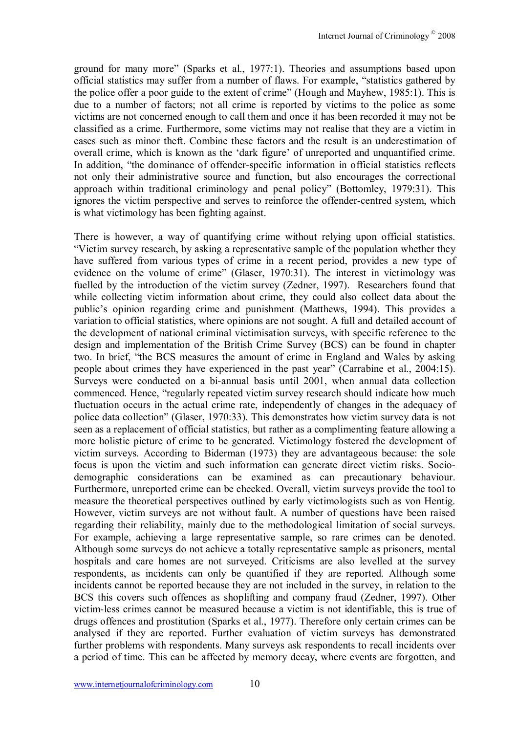ground for many more" (Sparks et al., 1977:1). Theories and assumptions based upon official statistics may suffer from a number of flaws. For example, "statistics gathered by the police offer a poor guide to the extent of crime" (Hough and Mayhew, 1985:1). This is due to a number of factors; not all crime is reported by victims to the police as some victims are not concerned enough to call them and once it has been recorded it may not be classified as a crime. Furthermore, some victims may not realise that they are a victim in cases such as minor theft. Combine these factors and the result is an underestimation of overall crime, which is known as the 'dark figure' of unreported and unquantified crime. In addition, "the dominance of offender-specific information in official statistics reflects not only their administrative source and function, but also encourages the correctional approach within traditional criminology and penal policy" (Bottomley, 1979:31). This ignores the victim perspective and serves to reinforce the offender-centred system, which is what victimology has been fighting against.

There is however, a way of quantifying crime without relying upon official statistics. ìVictim survey research, by asking a representative sample of the population whether they have suffered from various types of crime in a recent period, provides a new type of evidence on the volume of crime" (Glaser, 1970:31). The interest in victimology was fuelled by the introduction of the victim survey (Zedner, 1997). Researchers found that while collecting victim information about crime, they could also collect data about the public's opinion regarding crime and punishment (Matthews, 1994). This provides a variation to official statistics, where opinions are not sought. A full and detailed account of the development of national criminal victimisation surveys, with specific reference to the design and implementation of the British Crime Survey (BCS) can be found in chapter two. In brief, "the BCS measures the amount of crime in England and Wales by asking people about crimes they have experienced in the past year" (Carrabine et al., 2004:15). Surveys were conducted on a bi-annual basis until 2001, when annual data collection commenced. Hence, "regularly repeated victim survey research should indicate how much fluctuation occurs in the actual crime rate, independently of changes in the adequacy of police data collection" (Glaser, 1970:33). This demonstrates how victim survey data is not seen as a replacement of official statistics, but rather as a complimenting feature allowing a more holistic picture of crime to be generated. Victimology fostered the development of victim surveys. According to Biderman (1973) they are advantageous because: the sole focus is upon the victim and such information can generate direct victim risks. Sociodemographic considerations can be examined as can precautionary behaviour. Furthermore, unreported crime can be checked. Overall, victim surveys provide the tool to measure the theoretical perspectives outlined by early victimologists such as von Hentig. However, victim surveys are not without fault. A number of questions have been raised regarding their reliability, mainly due to the methodological limitation of social surveys. For example, achieving a large representative sample, so rare crimes can be denoted. Although some surveys do not achieve a totally representative sample as prisoners, mental hospitals and care homes are not surveyed. Criticisms are also levelled at the survey respondents, as incidents can only be quantified if they are reported. Although some incidents cannot be reported because they are not included in the survey, in relation to the BCS this covers such offences as shoplifting and company fraud (Zedner, 1997). Other victim-less crimes cannot be measured because a victim is not identifiable, this is true of drugs offences and prostitution (Sparks et al., 1977). Therefore only certain crimes can be analysed if they are reported. Further evaluation of victim surveys has demonstrated further problems with respondents. Many surveys ask respondents to recall incidents over a period of time. This can be affected by memory decay, where events are forgotten, and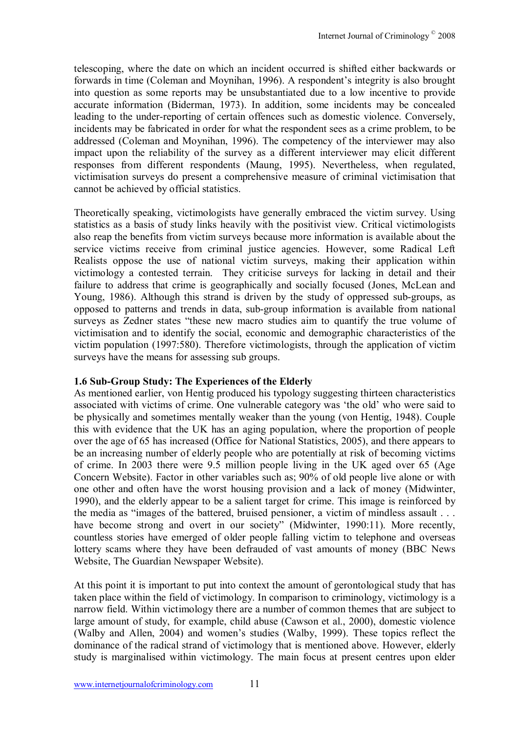telescoping, where the date on which an incident occurred is shifted either backwards or forwards in time (Coleman and Moynihan, 1996). A respondent's integrity is also brought into question as some reports may be unsubstantiated due to a low incentive to provide accurate information (Biderman, 1973). In addition, some incidents may be concealed leading to the under-reporting of certain offences such as domestic violence. Conversely, incidents may be fabricated in order for what the respondent sees as a crime problem, to be addressed (Coleman and Moynihan, 1996). The competency of the interviewer may also impact upon the reliability of the survey as a different interviewer may elicit different responses from different respondents (Maung, 1995). Nevertheless, when regulated, victimisation surveys do present a comprehensive measure of criminal victimisation that cannot be achieved by official statistics.

Theoretically speaking, victimologists have generally embraced the victim survey. Using statistics as a basis of study links heavily with the positivist view. Critical victimologists also reap the benefits from victim surveys because more information is available about the service victims receive from criminal justice agencies. However, some Radical Left Realists oppose the use of national victim surveys, making their application within victimology a contested terrain. They criticise surveys for lacking in detail and their failure to address that crime is geographically and socially focused (Jones, McLean and Young, 1986). Although this strand is driven by the study of oppressed sub-groups, as opposed to patterns and trends in data, sub-group information is available from national surveys as Zedner states "these new macro studies aim to quantify the true volume of victimisation and to identify the social, economic and demographic characteristics of the victim population (1997:580). Therefore victimologists, through the application of victim surveys have the means for assessing sub groups.

### **1.6 Sub-Group Study: The Experiences of the Elderly**

As mentioned earlier, von Hentig produced his typology suggesting thirteen characteristics associated with victims of crime. One vulnerable category was 'the old' who were said to be physically and sometimes mentally weaker than the young (von Hentig, 1948). Couple this with evidence that the UK has an aging population, where the proportion of people over the age of 65 has increased (Office for National Statistics, 2005), and there appears to be an increasing number of elderly people who are potentially at risk of becoming victims of crime. In 2003 there were 9.5 million people living in the UK aged over 65 (Age Concern Website). Factor in other variables such as; 90% of old people live alone or with one other and often have the worst housing provision and a lack of money (Midwinter, 1990), and the elderly appear to be a salient target for crime. This image is reinforced by the media as "images of the battered, bruised pensioner, a victim of mindless assault  $\ldots$ have become strong and overt in our society" (Midwinter, 1990:11). More recently, countless stories have emerged of older people falling victim to telephone and overseas lottery scams where they have been defrauded of vast amounts of money (BBC News Website, The Guardian Newspaper Website).

At this point it is important to put into context the amount of gerontological study that has taken place within the field of victimology. In comparison to criminology, victimology is a narrow field. Within victimology there are a number of common themes that are subject to large amount of study, for example, child abuse (Cawson et al., 2000), domestic violence (Walby and Allen, 2004) and women's studies (Walby, 1999). These topics reflect the dominance of the radical strand of victimology that is mentioned above. However, elderly study is marginalised within victimology. The main focus at present centres upon elder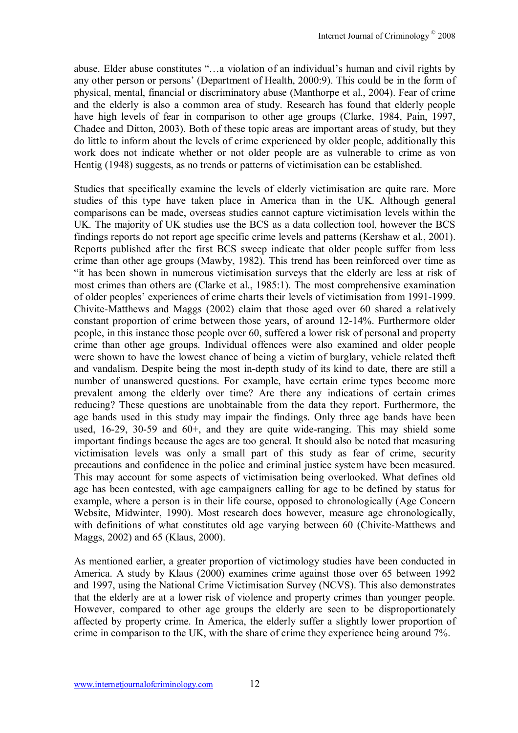abuse. Elder abuse constitutes "...a violation of an individual's human and civil rights by any other person or persons' (Department of Health, 2000:9). This could be in the form of physical, mental, financial or discriminatory abuse (Manthorpe et al., 2004). Fear of crime and the elderly is also a common area of study. Research has found that elderly people have high levels of fear in comparison to other age groups (Clarke, 1984, Pain, 1997, Chadee and Ditton, 2003). Both of these topic areas are important areas of study, but they do little to inform about the levels of crime experienced by older people, additionally this work does not indicate whether or not older people are as vulnerable to crime as von Hentig (1948) suggests, as no trends or patterns of victimisation can be established.

Studies that specifically examine the levels of elderly victimisation are quite rare. More studies of this type have taken place in America than in the UK. Although general comparisons can be made, overseas studies cannot capture victimisation levels within the UK. The majority of UK studies use the BCS as a data collection tool, however the BCS findings reports do not report age specific crime levels and patterns (Kershaw et al., 2001). Reports published after the first BCS sweep indicate that older people suffer from less crime than other age groups (Mawby, 1982). This trend has been reinforced over time as ìit has been shown in numerous victimisation surveys that the elderly are less at risk of most crimes than others are (Clarke et al., 1985:1). The most comprehensive examination of older peoples' experiences of crime charts their levels of victimisation from 1991-1999. Chivite-Matthews and Maggs (2002) claim that those aged over 60 shared a relatively constant proportion of crime between those years, of around 12-14%. Furthermore older people, in this instance those people over 60, suffered a lower risk of personal and property crime than other age groups. Individual offences were also examined and older people were shown to have the lowest chance of being a victim of burglary, vehicle related theft and vandalism. Despite being the most in-depth study of its kind to date, there are still a number of unanswered questions. For example, have certain crime types become more prevalent among the elderly over time? Are there any indications of certain crimes reducing? These questions are unobtainable from the data they report. Furthermore, the age bands used in this study may impair the findings. Only three age bands have been used, 16-29, 30-59 and 60+, and they are quite wide-ranging. This may shield some important findings because the ages are too general. It should also be noted that measuring victimisation levels was only a small part of this study as fear of crime, security precautions and confidence in the police and criminal justice system have been measured. This may account for some aspects of victimisation being overlooked. What defines old age has been contested, with age campaigners calling for age to be defined by status for example, where a person is in their life course, opposed to chronologically (Age Concern Website, Midwinter, 1990). Most research does however, measure age chronologically, with definitions of what constitutes old age varying between 60 (Chivite-Matthews and Maggs, 2002) and 65 (Klaus, 2000).

As mentioned earlier, a greater proportion of victimology studies have been conducted in America. A study by Klaus (2000) examines crime against those over 65 between 1992 and 1997, using the National Crime Victimisation Survey (NCVS). This also demonstrates that the elderly are at a lower risk of violence and property crimes than younger people. However, compared to other age groups the elderly are seen to be disproportionately affected by property crime. In America, the elderly suffer a slightly lower proportion of crime in comparison to the UK, with the share of crime they experience being around 7%.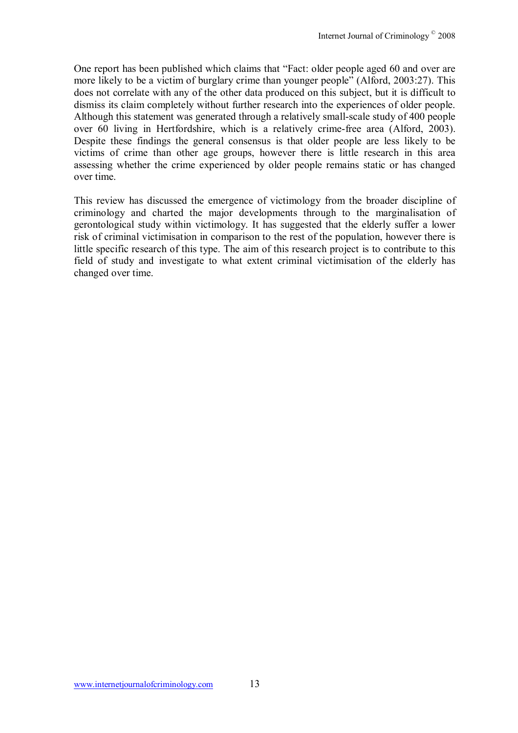One report has been published which claims that "Fact: older people aged 60 and over are more likely to be a victim of burglary crime than younger people" (Alford, 2003:27). This does not correlate with any of the other data produced on this subject, but it is difficult to dismiss its claim completely without further research into the experiences of older people. Although this statement was generated through a relatively small-scale study of 400 people over 60 living in Hertfordshire, which is a relatively crime-free area (Alford, 2003). Despite these findings the general consensus is that older people are less likely to be victims of crime than other age groups, however there is little research in this area assessing whether the crime experienced by older people remains static or has changed over time.

This review has discussed the emergence of victimology from the broader discipline of criminology and charted the major developments through to the marginalisation of gerontological study within victimology. It has suggested that the elderly suffer a lower risk of criminal victimisation in comparison to the rest of the population, however there is little specific research of this type. The aim of this research project is to contribute to this field of study and investigate to what extent criminal victimisation of the elderly has changed over time.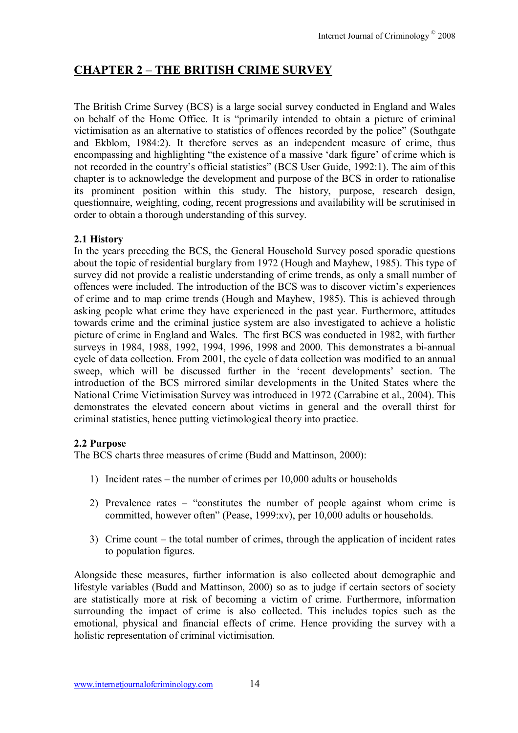# **CHAPTER 2 - THE BRITISH CRIME SURVEY**

The British Crime Survey (BCS) is a large social survey conducted in England and Wales on behalf of the Home Office. It is "primarily intended to obtain a picture of criminal victimisation as an alternative to statistics of offences recorded by the police" (Southgate and Ekblom, 1984:2). It therefore serves as an independent measure of crime, thus encompassing and highlighting "the existence of a massive 'dark figure' of crime which is not recorded in the country's official statistics" (BCS User Guide, 1992:1). The aim of this chapter is to acknowledge the development and purpose of the BCS in order to rationalise its prominent position within this study. The history, purpose, research design, questionnaire, weighting, coding, recent progressions and availability will be scrutinised in order to obtain a thorough understanding of this survey.

### **2.1 History**

In the years preceding the BCS, the General Household Survey posed sporadic questions about the topic of residential burglary from 1972 (Hough and Mayhew, 1985). This type of survey did not provide a realistic understanding of crime trends, as only a small number of offences were included. The introduction of the BCS was to discover victim's experiences of crime and to map crime trends (Hough and Mayhew, 1985). This is achieved through asking people what crime they have experienced in the past year. Furthermore, attitudes towards crime and the criminal justice system are also investigated to achieve a holistic picture of crime in England and Wales. The first BCS was conducted in 1982, with further surveys in 1984, 1988, 1992, 1994, 1996, 1998 and 2000. This demonstrates a bi-annual cycle of data collection. From 2001, the cycle of data collection was modified to an annual sweep, which will be discussed further in the 'recent developments' section. The introduction of the BCS mirrored similar developments in the United States where the National Crime Victimisation Survey was introduced in 1972 (Carrabine et al., 2004). This demonstrates the elevated concern about victims in general and the overall thirst for criminal statistics, hence putting victimological theory into practice.

### **2.2 Purpose**

The BCS charts three measures of crime (Budd and Mattinson, 2000):

- 1) Incident rates the number of crimes per  $10,000$  adults or households
- 2) Prevalence rates  $-$  "constitutes the number of people against whom crime is committed, however oftenî (Pease, 1999:xv), per 10,000 adults or households.
- 3) Crime count  $-$  the total number of crimes, through the application of incident rates to population figures.

Alongside these measures, further information is also collected about demographic and lifestyle variables (Budd and Mattinson, 2000) so as to judge if certain sectors of society are statistically more at risk of becoming a victim of crime. Furthermore, information surrounding the impact of crime is also collected. This includes topics such as the emotional, physical and financial effects of crime. Hence providing the survey with a holistic representation of criminal victimisation.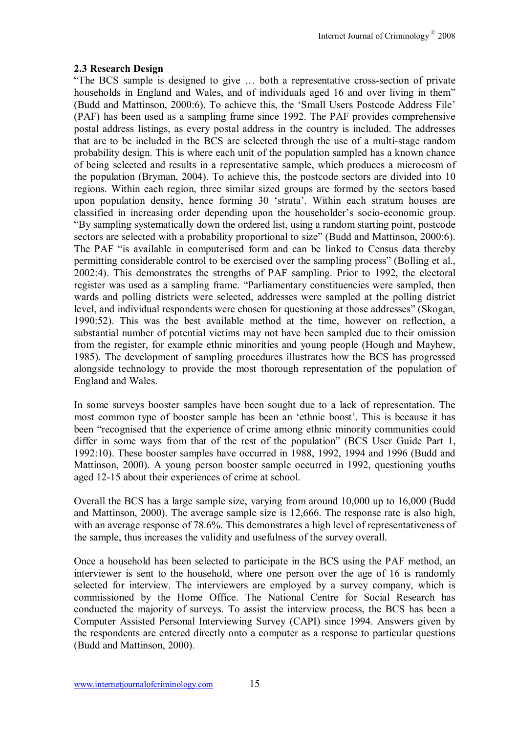#### **2.3 Research Design**

"The BCS sample is designed to give ... both a representative cross-section of private households in England and Wales, and of individuals aged 16 and over living in them<sup>3</sup> (Budd and Mattinson, 2000:6). To achieve this, the 'Small Users Postcode Address File' (PAF) has been used as a sampling frame since 1992. The PAF provides comprehensive postal address listings, as every postal address in the country is included. The addresses that are to be included in the BCS are selected through the use of a multi-stage random probability design. This is where each unit of the population sampled has a known chance of being selected and results in a representative sample, which produces a microcosm of the population (Bryman, 2004). To achieve this, the postcode sectors are divided into 10 regions. Within each region, three similar sized groups are formed by the sectors based upon population density, hence forming 30 'strata'. Within each stratum houses are classified in increasing order depending upon the householder's socio-economic group. ìBy sampling systematically down the ordered list, using a random starting point, postcode sectors are selected with a probability proportional to size" (Budd and Mattinson, 2000:6). The PAF "is available in computerised form and can be linked to Census data thereby permitting considerable control to be exercised over the sampling process" (Bolling et al., 2002:4). This demonstrates the strengths of PAF sampling. Prior to 1992, the electoral register was used as a sampling frame. "Parliamentary constituencies were sampled, then wards and polling districts were selected, addresses were sampled at the polling district level, and individual respondents were chosen for questioning at those addresses" (Skogan, 1990:52). This was the best available method at the time, however on reflection, a substantial number of potential victims may not have been sampled due to their omission from the register, for example ethnic minorities and young people (Hough and Mayhew, 1985). The development of sampling procedures illustrates how the BCS has progressed alongside technology to provide the most thorough representation of the population of England and Wales.

In some surveys booster samples have been sought due to a lack of representation. The most common type of booster sample has been an 'ethnic boost'. This is because it has been "recognised that the experience of crime among ethnic minority communities could differ in some ways from that of the rest of the population" (BCS User Guide Part 1, 1992:10). These booster samples have occurred in 1988, 1992, 1994 and 1996 (Budd and Mattinson, 2000). A young person booster sample occurred in 1992, questioning youths aged 12-15 about their experiences of crime at school.

Overall the BCS has a large sample size, varying from around 10,000 up to 16,000 (Budd and Mattinson, 2000). The average sample size is 12,666. The response rate is also high, with an average response of 78.6%. This demonstrates a high level of representativeness of the sample, thus increases the validity and usefulness of the survey overall.

Once a household has been selected to participate in the BCS using the PAF method, an interviewer is sent to the household, where one person over the age of 16 is randomly selected for interview. The interviewers are employed by a survey company, which is commissioned by the Home Office. The National Centre for Social Research has conducted the majority of surveys. To assist the interview process, the BCS has been a Computer Assisted Personal Interviewing Survey (CAPI) since 1994. Answers given by the respondents are entered directly onto a computer as a response to particular questions (Budd and Mattinson, 2000).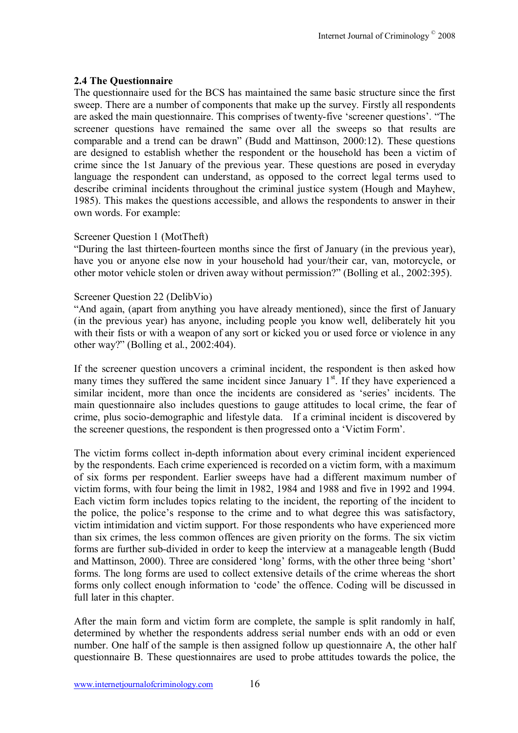#### **2.4 The Questionnaire**

The questionnaire used for the BCS has maintained the same basic structure since the first sweep. There are a number of components that make up the survey. Firstly all respondents are asked the main questionnaire. This comprises of twenty-five 'screener questions'. "The screener questions have remained the same over all the sweeps so that results are comparable and a trend can be drawn" (Budd and Mattinson,  $2000:12$ ). These questions are designed to establish whether the respondent or the household has been a victim of crime since the 1st January of the previous year. These questions are posed in everyday language the respondent can understand, as opposed to the correct legal terms used to describe criminal incidents throughout the criminal justice system (Hough and Mayhew, 1985). This makes the questions accessible, and allows the respondents to answer in their own words. For example:

#### Screener Question 1 (MotTheft)

ìDuring the last thirteen-fourteen months since the first of January (in the previous year), have you or anyone else now in your household had your/their car, van, motorcycle, or other motor vehicle stolen or driven away without permission?" (Bolling et al., 2002:395).

#### Screener Question 22 (DelibVio)

"And again, (apart from anything you have already mentioned), since the first of January (in the previous year) has anyone, including people you know well, deliberately hit you with their fists or with a weapon of any sort or kicked you or used force or violence in any other way?" (Bolling et al., 2002:404).

If the screener question uncovers a criminal incident, the respondent is then asked how many times they suffered the same incident since January  $1<sup>st</sup>$ . If they have experienced a similar incident, more than once the incidents are considered as 'series' incidents. The main questionnaire also includes questions to gauge attitudes to local crime, the fear of crime, plus socio-demographic and lifestyle data. If a criminal incident is discovered by the screener questions, the respondent is then progressed onto a 'Victim Form'.

The victim forms collect in-depth information about every criminal incident experienced by the respondents. Each crime experienced is recorded on a victim form, with a maximum of six forms per respondent. Earlier sweeps have had a different maximum number of victim forms, with four being the limit in 1982, 1984 and 1988 and five in 1992 and 1994. Each victim form includes topics relating to the incident, the reporting of the incident to the police, the police's response to the crime and to what degree this was satisfactory. victim intimidation and victim support. For those respondents who have experienced more than six crimes, the less common offences are given priority on the forms. The six victim forms are further sub-divided in order to keep the interview at a manageable length (Budd and Mattinson, 2000). Three are considered 'long' forms, with the other three being 'short' forms. The long forms are used to collect extensive details of the crime whereas the short forms only collect enough information to 'code' the offence. Coding will be discussed in full later in this chapter.

After the main form and victim form are complete, the sample is split randomly in half, determined by whether the respondents address serial number ends with an odd or even number. One half of the sample is then assigned follow up questionnaire A, the other half questionnaire B. These questionnaires are used to probe attitudes towards the police, the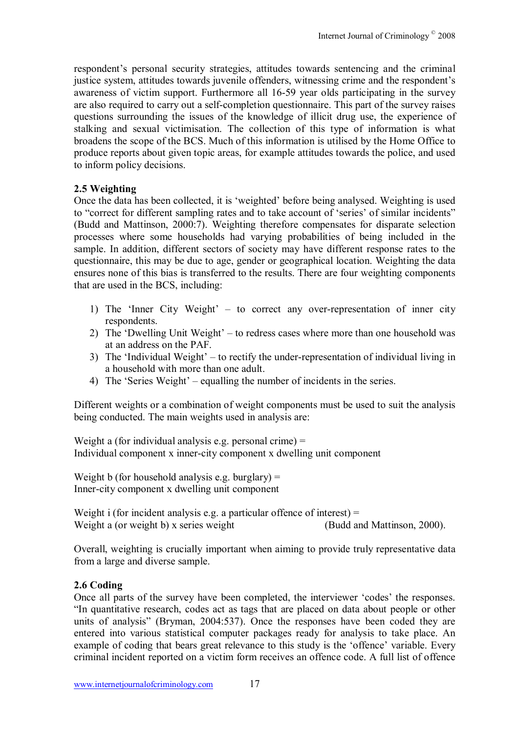respondent's personal security strategies, attitudes towards sentencing and the criminal justice system, attitudes towards juvenile offenders, witnessing crime and the respondent's awareness of victim support. Furthermore all 16-59 year olds participating in the survey are also required to carry out a self-completion questionnaire. This part of the survey raises questions surrounding the issues of the knowledge of illicit drug use, the experience of stalking and sexual victimisation. The collection of this type of information is what broadens the scope of the BCS. Much of this information is utilised by the Home Office to produce reports about given topic areas, for example attitudes towards the police, and used to inform policy decisions.

### **2.5 Weighting**

Once the data has been collected, it is 'weighted' before being analysed. Weighting is used to "correct for different sampling rates and to take account of 'series' of similar incidents" (Budd and Mattinson, 2000:7). Weighting therefore compensates for disparate selection processes where some households had varying probabilities of being included in the sample. In addition, different sectors of society may have different response rates to the questionnaire, this may be due to age, gender or geographical location. Weighting the data ensures none of this bias is transferred to the results. There are four weighting components that are used in the BCS, including:

- 1) The 'Inner City Weight'  $-$  to correct any over-representation of inner city respondents.
- 2) The 'Dwelling Unit Weight' to redress cases where more than one household was at an address on the PAF.
- 3) The 'Individual Weight'  $-$  to rectify the under-representation of individual living in a household with more than one adult.
- 4) The 'Series Weight'  $-$  equalling the number of incidents in the series.

Different weights or a combination of weight components must be used to suit the analysis being conducted. The main weights used in analysis are:

Weight a (for individual analysis e.g. personal crime)  $=$ Individual component x inner-city component x dwelling unit component

Weight b (for household analysis e.g. burglary)  $=$ Inner-city component x dwelling unit component

Weight i (for incident analysis e.g. a particular offence of interest)  $=$ Weight a (or weight b) x series weight (Budd and Mattinson, 2000).

Overall, weighting is crucially important when aiming to provide truly representative data from a large and diverse sample.

### **2.6 Coding**

Once all parts of the survey have been completed, the interviewer 'codes' the responses. "In quantitative research, codes act as tags that are placed on data about people or other units of analysis" (Bryman, 2004:537). Once the responses have been coded they are entered into various statistical computer packages ready for analysis to take place. An example of coding that bears great relevance to this study is the 'offence' variable. Every criminal incident reported on a victim form receives an offence code. A full list of offence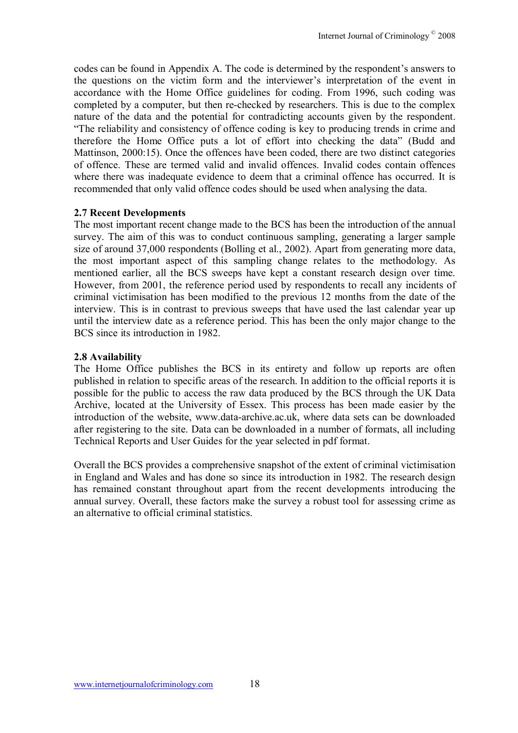codes can be found in Appendix A. The code is determined by the respondent's answers to the questions on the victim form and the interviewer's interpretation of the event in accordance with the Home Office guidelines for coding. From 1996, such coding was completed by a computer, but then re-checked by researchers. This is due to the complex nature of the data and the potential for contradicting accounts given by the respondent. ìThe reliability and consistency of offence coding is key to producing trends in crime and therefore the Home Office puts a lot of effort into checking the dataî (Budd and Mattinson, 2000:15). Once the offences have been coded, there are two distinct categories of offence. These are termed valid and invalid offences. Invalid codes contain offences where there was inadequate evidence to deem that a criminal offence has occurred. It is recommended that only valid offence codes should be used when analysing the data.

#### **2.7 Recent Developments**

The most important recent change made to the BCS has been the introduction of the annual survey. The aim of this was to conduct continuous sampling, generating a larger sample size of around 37,000 respondents (Bolling et al., 2002). Apart from generating more data, the most important aspect of this sampling change relates to the methodology. As mentioned earlier, all the BCS sweeps have kept a constant research design over time. However, from 2001, the reference period used by respondents to recall any incidents of criminal victimisation has been modified to the previous 12 months from the date of the interview. This is in contrast to previous sweeps that have used the last calendar year up until the interview date as a reference period. This has been the only major change to the BCS since its introduction in 1982.

#### **2.8 Availability**

The Home Office publishes the BCS in its entirety and follow up reports are often published in relation to specific areas of the research. In addition to the official reports it is possible for the public to access the raw data produced by the BCS through the UK Data Archive, located at the University of Essex. This process has been made easier by the introduction of the website, www.data-archive.ac.uk, where data sets can be downloaded after registering to the site. Data can be downloaded in a number of formats, all including Technical Reports and User Guides for the year selected in pdf format.

Overall the BCS provides a comprehensive snapshot of the extent of criminal victimisation in England and Wales and has done so since its introduction in 1982. The research design has remained constant throughout apart from the recent developments introducing the annual survey. Overall, these factors make the survey a robust tool for assessing crime as an alternative to official criminal statistics.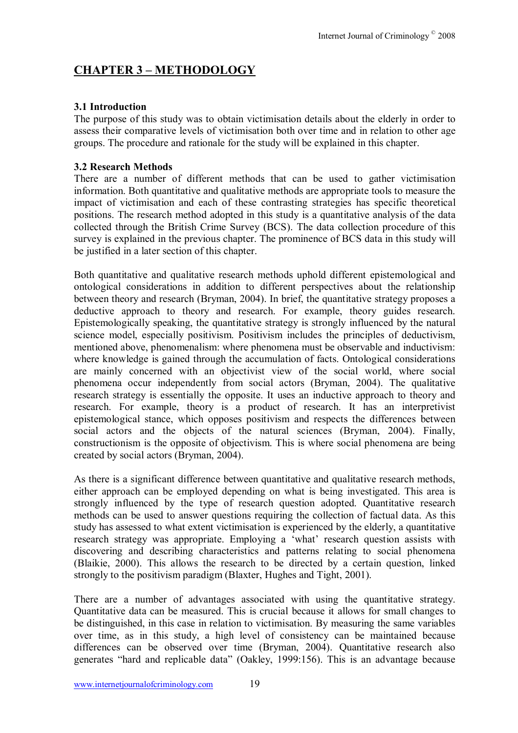# **CHAPTER 3 - METHODOLOGY**

### **3.1 Introduction**

The purpose of this study was to obtain victimisation details about the elderly in order to assess their comparative levels of victimisation both over time and in relation to other age groups. The procedure and rationale for the study will be explained in this chapter.

#### **3.2 Research Methods**

There are a number of different methods that can be used to gather victimisation information. Both quantitative and qualitative methods are appropriate tools to measure the impact of victimisation and each of these contrasting strategies has specific theoretical positions. The research method adopted in this study is a quantitative analysis of the data collected through the British Crime Survey (BCS). The data collection procedure of this survey is explained in the previous chapter. The prominence of BCS data in this study will be justified in a later section of this chapter.

Both quantitative and qualitative research methods uphold different epistemological and ontological considerations in addition to different perspectives about the relationship between theory and research (Bryman, 2004). In brief, the quantitative strategy proposes a deductive approach to theory and research. For example, theory guides research. Epistemologically speaking, the quantitative strategy is strongly influenced by the natural science model, especially positivism. Positivism includes the principles of deductivism, mentioned above, phenomenalism: where phenomena must be observable and inductivism: where knowledge is gained through the accumulation of facts. Ontological considerations are mainly concerned with an objectivist view of the social world, where social phenomena occur independently from social actors (Bryman, 2004). The qualitative research strategy is essentially the opposite. It uses an inductive approach to theory and research. For example, theory is a product of research. It has an interpretivist epistemological stance, which opposes positivism and respects the differences between social actors and the objects of the natural sciences (Bryman, 2004). Finally, constructionism is the opposite of objectivism. This is where social phenomena are being created by social actors (Bryman, 2004).

As there is a significant difference between quantitative and qualitative research methods, either approach can be employed depending on what is being investigated. This area is strongly influenced by the type of research question adopted. Quantitative research methods can be used to answer questions requiring the collection of factual data. As this study has assessed to what extent victimisation is experienced by the elderly, a quantitative research strategy was appropriate. Employing a 'what' research question assists with discovering and describing characteristics and patterns relating to social phenomena (Blaikie, 2000). This allows the research to be directed by a certain question, linked strongly to the positivism paradigm (Blaxter, Hughes and Tight, 2001).

There are a number of advantages associated with using the quantitative strategy. Quantitative data can be measured. This is crucial because it allows for small changes to be distinguished, in this case in relation to victimisation. By measuring the same variables over time, as in this study, a high level of consistency can be maintained because differences can be observed over time (Bryman, 2004). Quantitative research also generates "hard and replicable data" (Oakley, 1999:156). This is an advantage because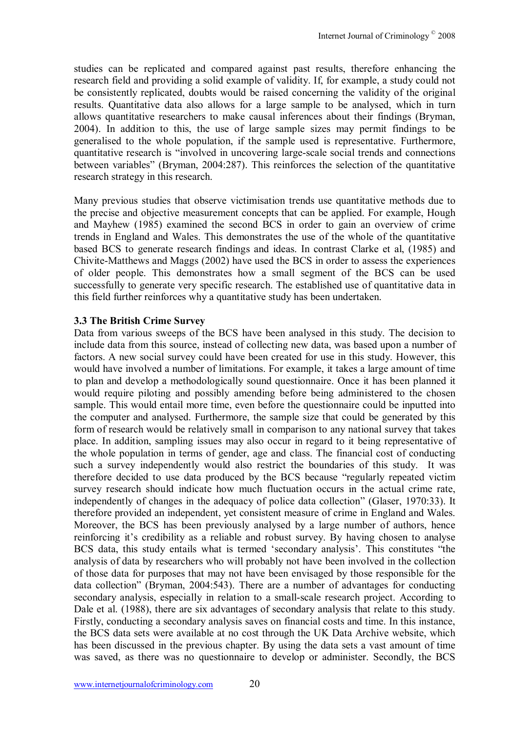studies can be replicated and compared against past results, therefore enhancing the research field and providing a solid example of validity. If, for example, a study could not be consistently replicated, doubts would be raised concerning the validity of the original results. Quantitative data also allows for a large sample to be analysed, which in turn allows quantitative researchers to make causal inferences about their findings (Bryman, 2004). In addition to this, the use of large sample sizes may permit findings to be generalised to the whole population, if the sample used is representative. Furthermore, quantitative research is "involved in uncovering large-scale social trends and connections between variables" (Bryman, 2004:287). This reinforces the selection of the quantitative research strategy in this research.

Many previous studies that observe victimisation trends use quantitative methods due to the precise and objective measurement concepts that can be applied. For example, Hough and Mayhew (1985) examined the second BCS in order to gain an overview of crime trends in England and Wales. This demonstrates the use of the whole of the quantitative based BCS to generate research findings and ideas. In contrast Clarke et al, (1985) and Chivite-Matthews and Maggs (2002) have used the BCS in order to assess the experiences of older people. This demonstrates how a small segment of the BCS can be used successfully to generate very specific research. The established use of quantitative data in this field further reinforces why a quantitative study has been undertaken.

#### **3.3 The British Crime Survey**

Data from various sweeps of the BCS have been analysed in this study. The decision to include data from this source, instead of collecting new data, was based upon a number of factors. A new social survey could have been created for use in this study. However, this would have involved a number of limitations. For example, it takes a large amount of time to plan and develop a methodologically sound questionnaire. Once it has been planned it would require piloting and possibly amending before being administered to the chosen sample. This would entail more time, even before the questionnaire could be inputted into the computer and analysed. Furthermore, the sample size that could be generated by this form of research would be relatively small in comparison to any national survey that takes place. In addition, sampling issues may also occur in regard to it being representative of the whole population in terms of gender, age and class. The financial cost of conducting such a survey independently would also restrict the boundaries of this study. It was therefore decided to use data produced by the BCS because "regularly repeated victim survey research should indicate how much fluctuation occurs in the actual crime rate, independently of changes in the adequacy of police data collection" (Glaser, 1970:33). It therefore provided an independent, yet consistent measure of crime in England and Wales. Moreover, the BCS has been previously analysed by a large number of authors, hence reinforcing it's credibility as a reliable and robust survey. By having chosen to analyse BCS data, this study entails what is termed 'secondary analysis'. This constitutes "the analysis of data by researchers who will probably not have been involved in the collection of those data for purposes that may not have been envisaged by those responsible for the data collection" (Bryman, 2004:543). There are a number of advantages for conducting secondary analysis, especially in relation to a small-scale research project. According to Dale et al. (1988), there are six advantages of secondary analysis that relate to this study. Firstly, conducting a secondary analysis saves on financial costs and time. In this instance, the BCS data sets were available at no cost through the UK Data Archive website, which has been discussed in the previous chapter. By using the data sets a vast amount of time was saved, as there was no questionnaire to develop or administer. Secondly, the BCS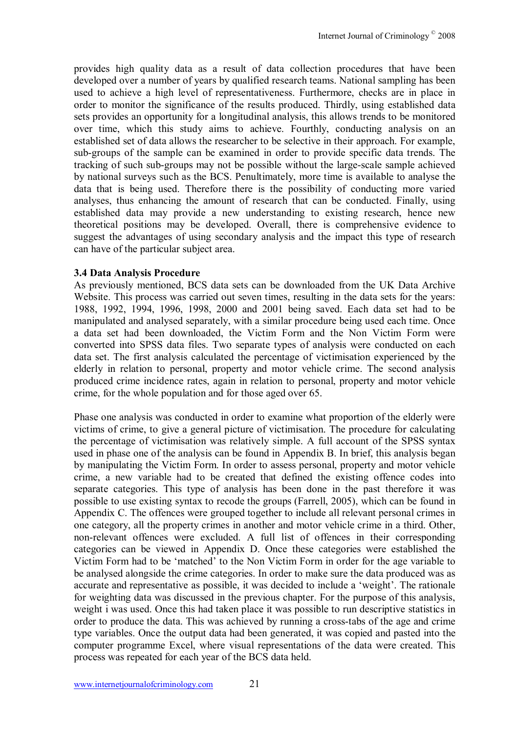provides high quality data as a result of data collection procedures that have been developed over a number of years by qualified research teams. National sampling has been used to achieve a high level of representativeness. Furthermore, checks are in place in order to monitor the significance of the results produced. Thirdly, using established data sets provides an opportunity for a longitudinal analysis, this allows trends to be monitored over time, which this study aims to achieve. Fourthly, conducting analysis on an established set of data allows the researcher to be selective in their approach. For example, sub-groups of the sample can be examined in order to provide specific data trends. The tracking of such sub-groups may not be possible without the large-scale sample achieved by national surveys such as the BCS. Penultimately, more time is available to analyse the data that is being used. Therefore there is the possibility of conducting more varied analyses, thus enhancing the amount of research that can be conducted. Finally, using established data may provide a new understanding to existing research, hence new theoretical positions may be developed. Overall, there is comprehensive evidence to suggest the advantages of using secondary analysis and the impact this type of research can have of the particular subject area.

#### **3.4 Data Analysis Procedure**

As previously mentioned, BCS data sets can be downloaded from the UK Data Archive Website. This process was carried out seven times, resulting in the data sets for the years: 1988, 1992, 1994, 1996, 1998, 2000 and 2001 being saved. Each data set had to be manipulated and analysed separately, with a similar procedure being used each time. Once a data set had been downloaded, the Victim Form and the Non Victim Form were converted into SPSS data files. Two separate types of analysis were conducted on each data set. The first analysis calculated the percentage of victimisation experienced by the elderly in relation to personal, property and motor vehicle crime. The second analysis produced crime incidence rates, again in relation to personal, property and motor vehicle crime, for the whole population and for those aged over 65.

Phase one analysis was conducted in order to examine what proportion of the elderly were victims of crime, to give a general picture of victimisation. The procedure for calculating the percentage of victimisation was relatively simple. A full account of the SPSS syntax used in phase one of the analysis can be found in Appendix B. In brief, this analysis began by manipulating the Victim Form. In order to assess personal, property and motor vehicle crime, a new variable had to be created that defined the existing offence codes into separate categories. This type of analysis has been done in the past therefore it was possible to use existing syntax to recode the groups (Farrell, 2005), which can be found in Appendix C. The offences were grouped together to include all relevant personal crimes in one category, all the property crimes in another and motor vehicle crime in a third. Other, non-relevant offences were excluded. A full list of offences in their corresponding categories can be viewed in Appendix D. Once these categories were established the Victim Form had to be 'matched' to the Non Victim Form in order for the age variable to be analysed alongside the crime categories. In order to make sure the data produced was as accurate and representative as possible, it was decided to include a 'weight'. The rationale for weighting data was discussed in the previous chapter. For the purpose of this analysis, weight i was used. Once this had taken place it was possible to run descriptive statistics in order to produce the data. This was achieved by running a cross-tabs of the age and crime type variables. Once the output data had been generated, it was copied and pasted into the computer programme Excel, where visual representations of the data were created. This process was repeated for each year of the BCS data held.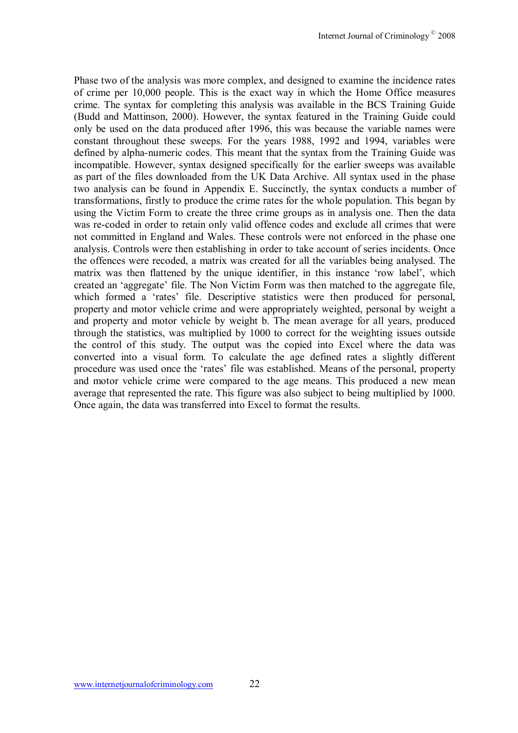Phase two of the analysis was more complex, and designed to examine the incidence rates of crime per 10,000 people. This is the exact way in which the Home Office measures crime. The syntax for completing this analysis was available in the BCS Training Guide (Budd and Mattinson, 2000). However, the syntax featured in the Training Guide could only be used on the data produced after 1996, this was because the variable names were constant throughout these sweeps. For the years 1988, 1992 and 1994, variables were defined by alpha-numeric codes. This meant that the syntax from the Training Guide was incompatible. However, syntax designed specifically for the earlier sweeps was available as part of the files downloaded from the UK Data Archive. All syntax used in the phase two analysis can be found in Appendix E. Succinctly, the syntax conducts a number of transformations, firstly to produce the crime rates for the whole population. This began by using the Victim Form to create the three crime groups as in analysis one. Then the data was re-coded in order to retain only valid offence codes and exclude all crimes that were not committed in England and Wales. These controls were not enforced in the phase one analysis. Controls were then establishing in order to take account of series incidents. Once the offences were recoded, a matrix was created for all the variables being analysed. The matrix was then flattened by the unique identifier, in this instance 'row label', which created an 'aggregate' file. The Non Victim Form was then matched to the aggregate file, which formed a 'rates' file. Descriptive statistics were then produced for personal, property and motor vehicle crime and were appropriately weighted, personal by weight a and property and motor vehicle by weight b. The mean average for all years, produced through the statistics, was multiplied by 1000 to correct for the weighting issues outside the control of this study. The output was the copied into Excel where the data was converted into a visual form. To calculate the age defined rates a slightly different procedure was used once the 'rates' file was established. Means of the personal, property and motor vehicle crime were compared to the age means. This produced a new mean average that represented the rate. This figure was also subject to being multiplied by 1000. Once again, the data was transferred into Excel to format the results.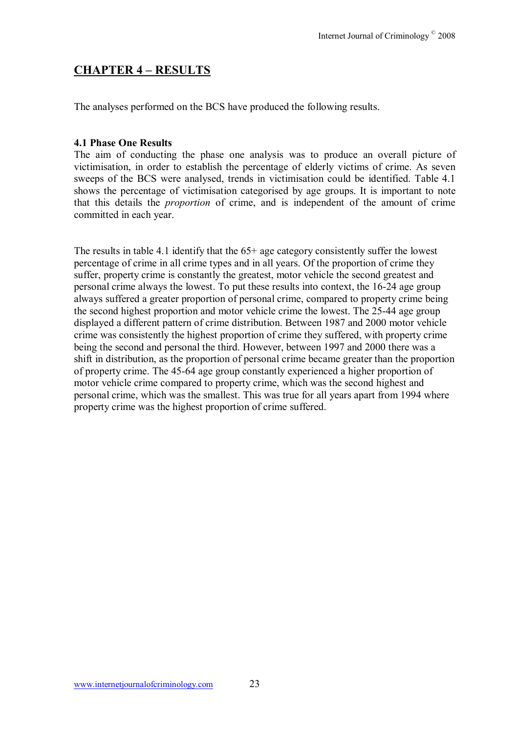# **CHAPTER 4 - RESULTS**

The analyses performed on the BCS have produced the following results.

#### **4.1 Phase One Results**

The aim of conducting the phase one analysis was to produce an overall picture of victimisation, in order to establish the percentage of elderly victims of crime. As seven sweeps of the BCS were analysed, trends in victimisation could be identified. Table 4.1 shows the percentage of victimisation categorised by age groups. It is important to note that this details the *proportion* of crime, and is independent of the amount of crime committed in each year.

The results in table 4.1 identify that the 65+ age category consistently suffer the lowest percentage of crime in all crime types and in all years. Of the proportion of crime they suffer, property crime is constantly the greatest, motor vehicle the second greatest and personal crime always the lowest. To put these results into context, the 16-24 age group always suffered a greater proportion of personal crime, compared to property crime being the second highest proportion and motor vehicle crime the lowest. The 25-44 age group displayed a different pattern of crime distribution. Between 1987 and 2000 motor vehicle crime was consistently the highest proportion of crime they suffered, with property crime being the second and personal the third. However, between 1997 and 2000 there was a shift in distribution, as the proportion of personal crime became greater than the proportion of property crime. The 45-64 age group constantly experienced a higher proportion of motor vehicle crime compared to property crime, which was the second highest and personal crime, which was the smallest. This was true for all years apart from 1994 where property crime was the highest proportion of crime suffered.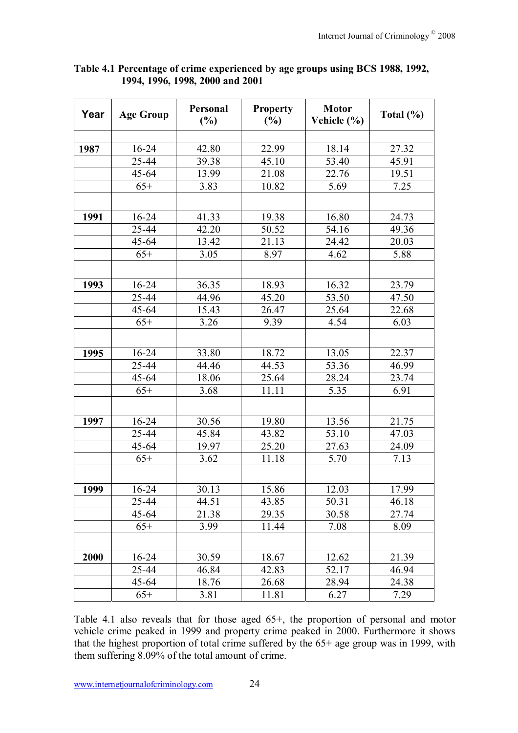| Year | <b>Age Group</b> | Personal<br>(%) | <b>Property</b><br>(%) | <b>Motor</b><br>Vehicle (%) | Total $(\% )$ |
|------|------------------|-----------------|------------------------|-----------------------------|---------------|
|      |                  |                 |                        |                             |               |
| 1987 | $16 - 24$        | 42.80           | 22.99                  | 18.14                       | 27.32         |
|      | 25-44            | 39.38           | 45.10                  | 53.40                       | 45.91         |
|      | $45 - 64$        | 13.99           | 21.08                  | 22.76                       | 19.51         |
|      | $65+$            | 3.83            | 10.82                  | 5.69                        | 7.25          |
|      |                  |                 |                        |                             |               |
| 1991 | $16 - 24$        | 41.33           | 19.38                  | 16.80                       | 24.73         |
|      | 25-44            | 42.20           | 50.52                  | 54.16                       | 49.36         |
|      | $45 - 64$        | 13.42           | 21.13                  | 24.42                       | 20.03         |
|      | $65+$            | 3.05            | 8.97                   | 4.62                        | 5.88          |
|      |                  |                 |                        |                             |               |
| 1993 | 16-24            | 36.35           | 18.93                  | 16.32                       | 23.79         |
|      | 25-44            | 44.96           | 45.20                  | 53.50                       | 47.50         |
|      | 45-64            | 15.43           | 26.47                  | 25.64                       | 22.68         |
|      | $65+$            | 3.26            | 9.39                   | 4.54                        | 6.03          |
|      |                  |                 |                        |                             |               |
| 1995 | 16-24            | 33.80           | 18.72                  | 13.05                       | 22.37         |
|      | 25-44            | 44.46           | 44.53                  | 53.36                       | 46.99         |
|      | $45 - 64$        | 18.06           | 25.64                  | 28.24                       | 23.74         |
|      | $65+$            | 3.68            | 11.11                  | 5.35                        | 6.91          |
|      |                  |                 |                        |                             |               |
| 1997 | 16-24            | 30.56           | 19.80                  | 13.56                       | 21.75         |
|      | 25-44            | 45.84           | 43.82                  | 53.10                       | 47.03         |
|      | 45-64            | 19.97           | 25.20                  | 27.63                       | 24.09         |
|      | $65+$            | 3.62            | 11.18                  | 5.70                        | 7.13          |
|      |                  |                 |                        |                             |               |
| 1999 | 16-24            | 30.13           | 15.86                  | 12.03                       | 17.99         |
|      | $25 - 44$        | 44.51           | 43.85                  | 50.31                       | 46.18         |
|      | $45 - 64$        | 21.38           | 29.35                  | 30.58                       | 27.74         |
|      | $65+$            | 3.99            | 11.44                  | 7.08                        | 8.09          |
|      |                  |                 |                        |                             |               |
| 2000 | $16 - 24$        | 30.59           | 18.67                  | 12.62                       | 21.39         |
|      | 25-44            | 46.84           | 42.83                  | 52.17                       | 46.94         |
|      | $45 - 64$        | 18.76           | 26.68                  | 28.94                       | 24.38         |
|      | $65+$            | 3.81            | 11.81                  | 6.27                        | 7.29          |

**Table 4.1 Percentage of crime experienced by age groups using BCS 1988, 1992, 1994, 1996, 1998, 2000 and 2001** 

Table 4.1 also reveals that for those aged 65+, the proportion of personal and motor vehicle crime peaked in 1999 and property crime peaked in 2000. Furthermore it shows that the highest proportion of total crime suffered by the 65+ age group was in 1999, with them suffering 8.09% of the total amount of crime.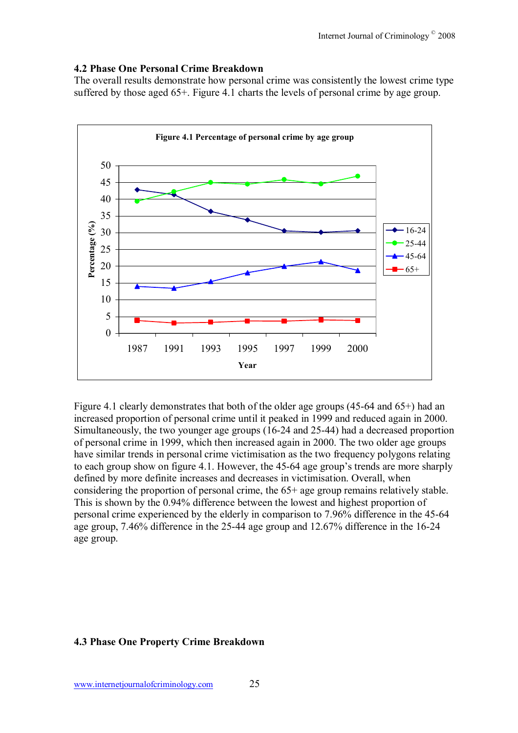#### **4.2 Phase One Personal Crime Breakdown**

The overall results demonstrate how personal crime was consistently the lowest crime type suffered by those aged 65+. Figure 4.1 charts the levels of personal crime by age group.



Figure 4.1 clearly demonstrates that both of the older age groups (45-64 and 65+) had an increased proportion of personal crime until it peaked in 1999 and reduced again in 2000. Simultaneously, the two younger age groups (16-24 and 25-44) had a decreased proportion of personal crime in 1999, which then increased again in 2000. The two older age groups have similar trends in personal crime victimisation as the two frequency polygons relating to each group show on figure 4.1. However, the 45-64 age group's trends are more sharply defined by more definite increases and decreases in victimisation. Overall, when considering the proportion of personal crime, the 65+ age group remains relatively stable. This is shown by the 0.94% difference between the lowest and highest proportion of personal crime experienced by the elderly in comparison to 7.96% difference in the 45-64 age group, 7.46% difference in the 25-44 age group and 12.67% difference in the 16-24 age group.

#### **4.3 Phase One Property Crime Breakdown**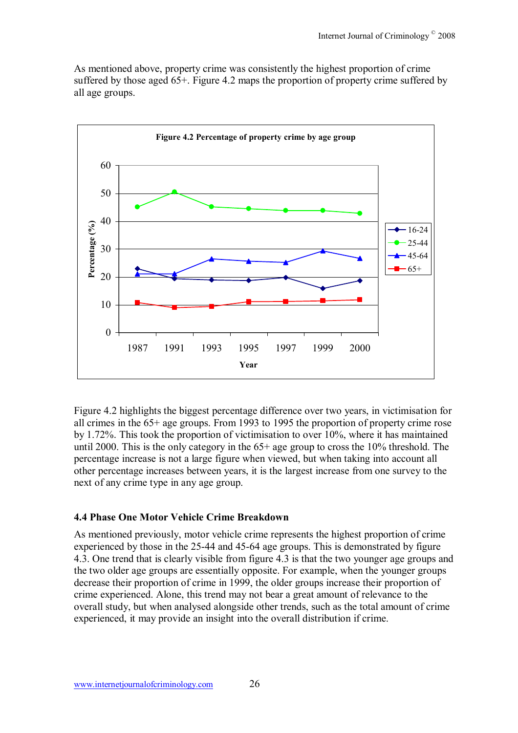As mentioned above, property crime was consistently the highest proportion of crime suffered by those aged 65+. Figure 4.2 maps the proportion of property crime suffered by all age groups.



Figure 4.2 highlights the biggest percentage difference over two years, in victimisation for all crimes in the 65+ age groups. From 1993 to 1995 the proportion of property crime rose by 1.72%. This took the proportion of victimisation to over 10%, where it has maintained until 2000. This is the only category in the 65+ age group to cross the 10% threshold. The percentage increase is not a large figure when viewed, but when taking into account all other percentage increases between years, it is the largest increase from one survey to the next of any crime type in any age group.

#### **4.4 Phase One Motor Vehicle Crime Breakdown**

As mentioned previously, motor vehicle crime represents the highest proportion of crime experienced by those in the 25-44 and 45-64 age groups. This is demonstrated by figure 4.3. One trend that is clearly visible from figure 4.3 is that the two younger age groups and the two older age groups are essentially opposite. For example, when the younger groups decrease their proportion of crime in 1999, the older groups increase their proportion of crime experienced. Alone, this trend may not bear a great amount of relevance to the overall study, but when analysed alongside other trends, such as the total amount of crime experienced, it may provide an insight into the overall distribution if crime.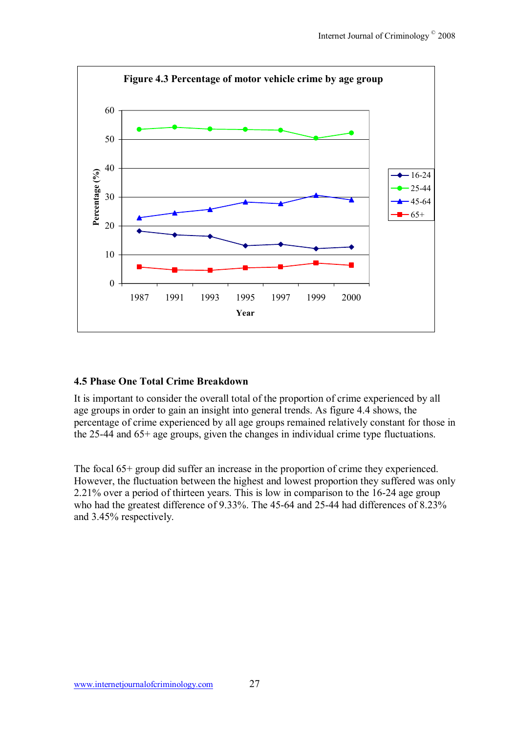

#### **4.5 Phase One Total Crime Breakdown**

It is important to consider the overall total of the proportion of crime experienced by all age groups in order to gain an insight into general trends. As figure 4.4 shows, the percentage of crime experienced by all age groups remained relatively constant for those in the 25-44 and 65+ age groups, given the changes in individual crime type fluctuations.

The focal 65+ group did suffer an increase in the proportion of crime they experienced. However, the fluctuation between the highest and lowest proportion they suffered was only 2.21% over a period of thirteen years. This is low in comparison to the 16-24 age group who had the greatest difference of 9.33%. The 45-64 and 25-44 had differences of 8.23% and 3.45% respectively.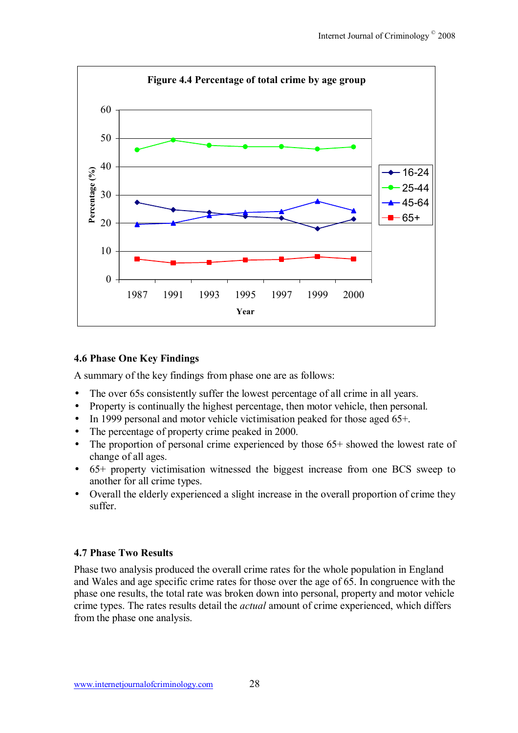

#### **4.6 Phase One Key Findings**

A summary of the key findings from phase one are as follows:

- The over 65s consistently suffer the lowest percentage of all crime in all years.
- Property is continually the highest percentage, then motor vehicle, then personal.
- In 1999 personal and motor vehicle victimisation peaked for those aged 65+.
- The percentage of property crime peaked in 2000.
- The proportion of personal crime experienced by those 65+ showed the lowest rate of change of all ages.
- 65+ property victimisation witnessed the biggest increase from one BCS sweep to another for all crime types.
- Overall the elderly experienced a slight increase in the overall proportion of crime they suffer.

#### **4.7 Phase Two Results**

Phase two analysis produced the overall crime rates for the whole population in England and Wales and age specific crime rates for those over the age of 65. In congruence with the phase one results, the total rate was broken down into personal, property and motor vehicle crime types. The rates results detail the *actual* amount of crime experienced, which differs from the phase one analysis.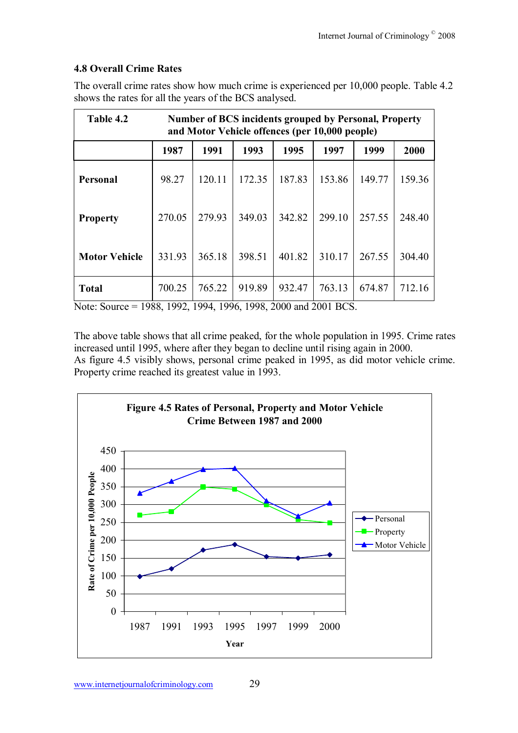## **4.8 Overall Crime Rates**

The overall crime rates show how much crime is experienced per 10,000 people. Table 4.2 shows the rates for all the years of the BCS analysed.

| Table 4.2            | <b>Number of BCS incidents grouped by Personal, Property</b><br>and Motor Vehicle offences (per 10,000 people) |        |        |        |        |        |        |
|----------------------|----------------------------------------------------------------------------------------------------------------|--------|--------|--------|--------|--------|--------|
|                      | 1987                                                                                                           | 1991   | 1993   | 1995   | 1997   | 1999   | 2000   |
| Personal             | 98.27                                                                                                          | 120.11 | 172.35 | 187.83 | 153.86 | 149.77 | 159.36 |
| <b>Property</b>      | 270.05                                                                                                         | 279.93 | 349.03 | 342.82 | 299.10 | 257.55 | 248.40 |
| <b>Motor Vehicle</b> | 331.93                                                                                                         | 365.18 | 398.51 | 401.82 | 310.17 | 267.55 | 304.40 |
| <b>Total</b>         | 700.25                                                                                                         | 765.22 | 919.89 | 932.47 | 763.13 | 674.87 | 712.16 |

Note: Source = 1988, 1992, 1994, 1996, 1998, 2000 and 2001 BCS.

The above table shows that all crime peaked, for the whole population in 1995. Crime rates increased until 1995, where after they began to decline until rising again in 2000. As figure 4.5 visibly shows, personal crime peaked in 1995, as did motor vehicle crime. Property crime reached its greatest value in 1993.

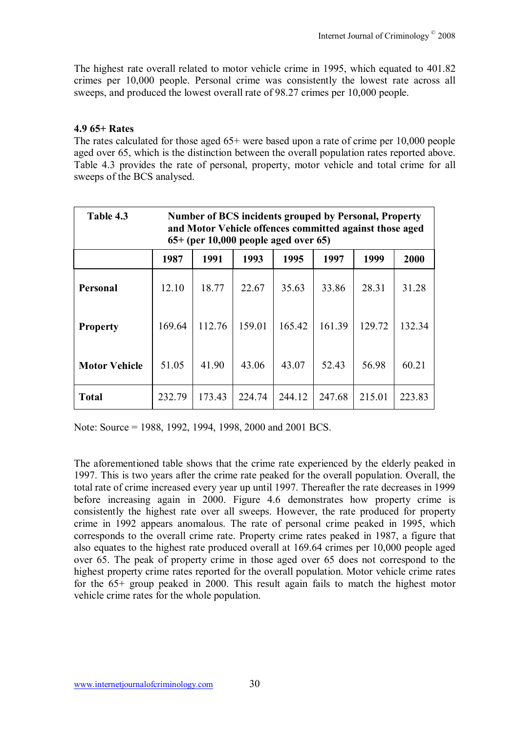The highest rate overall related to motor vehicle crime in 1995, which equated to 401.82 crimes per 10,000 people. Personal crime was consistently the lowest rate across all sweeps, and produced the lowest overall rate of 98.27 crimes per 10,000 people.

#### **4.9 65+ Rates**

The rates calculated for those aged  $65+$  were based upon a rate of crime per 10,000 people aged over 65, which is the distinction between the overall population rates reported above. Table 4.3 provides the rate of personal, property, motor vehicle and total crime for all sweeps of the BCS analysed.

| Table 4.3            | <b>Number of BCS incidents grouped by Personal, Property</b><br>and Motor Vehicle offences committed against those aged<br>$65+$ (per 10,000 people aged over 65) |        |        |        |        |        |        |
|----------------------|-------------------------------------------------------------------------------------------------------------------------------------------------------------------|--------|--------|--------|--------|--------|--------|
|                      | 1991<br>1987<br>1993<br>1995<br>1997<br>1999<br>2000                                                                                                              |        |        |        |        |        |        |
| Personal             | 12.10                                                                                                                                                             | 18.77  | 22.67  | 35.63  | 33.86  | 28.31  | 31.28  |
| <b>Property</b>      | 169.64                                                                                                                                                            | 112.76 | 159.01 | 165.42 | 161.39 | 129.72 | 132.34 |
| <b>Motor Vehicle</b> | 51.05                                                                                                                                                             | 41.90  | 43.06  | 43.07  | 52.43  | 56.98  | 60.21  |
| <b>Total</b>         | 232.79                                                                                                                                                            | 173.43 | 224.74 | 244.12 | 247.68 | 215.01 | 223.83 |

Note: Source = 1988, 1992, 1994, 1998, 2000 and 2001 BCS.

The aforementioned table shows that the crime rate experienced by the elderly peaked in 1997. This is two years after the crime rate peaked for the overall population. Overall, the total rate of crime increased every year up until 1997. Thereafter the rate decreases in 1999 before increasing again in 2000. Figure 4.6 demonstrates how property crime is consistently the highest rate over all sweeps. However, the rate produced for property crime in 1992 appears anomalous. The rate of personal crime peaked in 1995, which corresponds to the overall crime rate. Property crime rates peaked in 1987, a figure that also equates to the highest rate produced overall at 169.64 crimes per 10,000 people aged over 65. The peak of property crime in those aged over 65 does not correspond to the highest property crime rates reported for the overall population. Motor vehicle crime rates for the 65+ group peaked in 2000. This result again fails to match the highest motor vehicle crime rates for the whole population.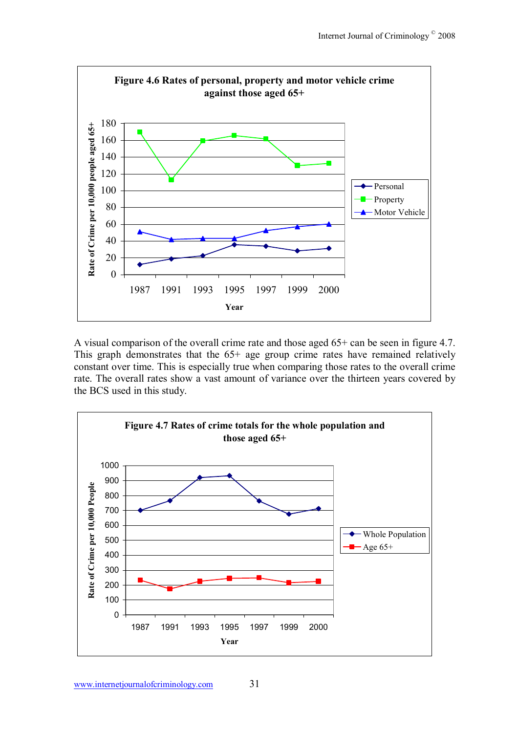

A visual comparison of the overall crime rate and those aged 65+ can be seen in figure 4.7. This graph demonstrates that the 65+ age group crime rates have remained relatively constant over time. This is especially true when comparing those rates to the overall crime rate. The overall rates show a vast amount of variance over the thirteen years covered by the BCS used in this study.

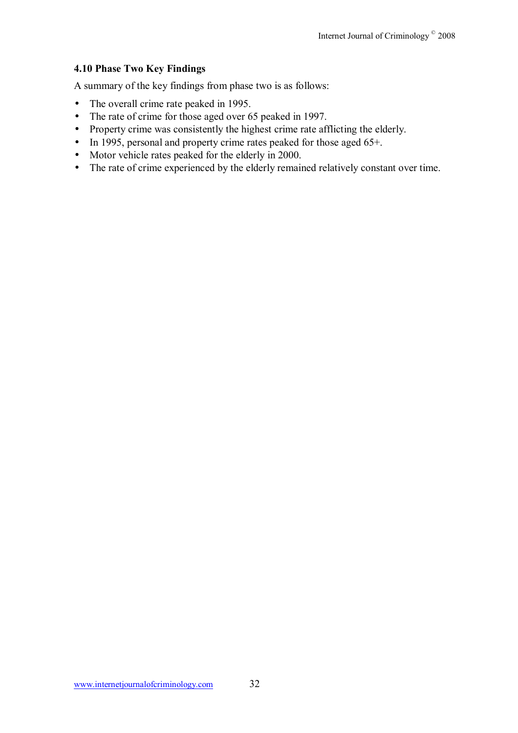#### **4.10 Phase Two Key Findings**

A summary of the key findings from phase two is as follows:

- The overall crime rate peaked in 1995.
- The rate of crime for those aged over 65 peaked in 1997.
- Property crime was consistently the highest crime rate afflicting the elderly.
- In 1995, personal and property crime rates peaked for those aged 65+.
- Motor vehicle rates peaked for the elderly in 2000.
- The rate of crime experienced by the elderly remained relatively constant over time.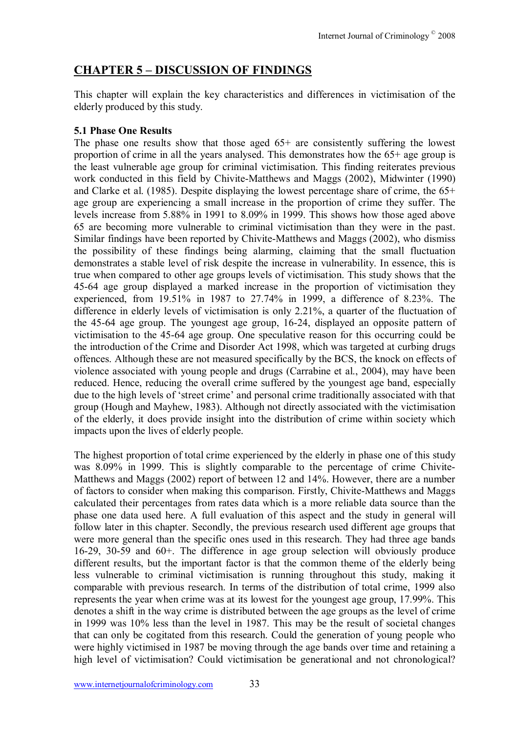# **CHAPTER 5 - DISCUSSION OF FINDINGS**

This chapter will explain the key characteristics and differences in victimisation of the elderly produced by this study.

### **5.1 Phase One Results**

The phase one results show that those aged 65+ are consistently suffering the lowest proportion of crime in all the years analysed. This demonstrates how the 65+ age group is the least vulnerable age group for criminal victimisation. This finding reiterates previous work conducted in this field by Chivite-Matthews and Maggs (2002), Midwinter (1990) and Clarke et al. (1985). Despite displaying the lowest percentage share of crime, the 65+ age group are experiencing a small increase in the proportion of crime they suffer. The levels increase from 5.88% in 1991 to 8.09% in 1999. This shows how those aged above 65 are becoming more vulnerable to criminal victimisation than they were in the past. Similar findings have been reported by Chivite-Matthews and Maggs (2002), who dismiss the possibility of these findings being alarming, claiming that the small fluctuation demonstrates a stable level of risk despite the increase in vulnerability. In essence, this is true when compared to other age groups levels of victimisation. This study shows that the 45-64 age group displayed a marked increase in the proportion of victimisation they experienced, from 19.51% in 1987 to 27.74% in 1999, a difference of 8.23%. The difference in elderly levels of victimisation is only 2.21%, a quarter of the fluctuation of the 45-64 age group. The youngest age group, 16-24, displayed an opposite pattern of victimisation to the 45-64 age group. One speculative reason for this occurring could be the introduction of the Crime and Disorder Act 1998, which was targeted at curbing drugs offences. Although these are not measured specifically by the BCS, the knock on effects of violence associated with young people and drugs (Carrabine et al., 2004), may have been reduced. Hence, reducing the overall crime suffered by the youngest age band, especially due to the high levels of 'street crime' and personal crime traditionally associated with that group (Hough and Mayhew, 1983). Although not directly associated with the victimisation of the elderly, it does provide insight into the distribution of crime within society which impacts upon the lives of elderly people.

The highest proportion of total crime experienced by the elderly in phase one of this study was 8.09% in 1999. This is slightly comparable to the percentage of crime Chivite-Matthews and Maggs (2002) report of between 12 and 14%. However, there are a number of factors to consider when making this comparison. Firstly, Chivite-Matthews and Maggs calculated their percentages from rates data which is a more reliable data source than the phase one data used here. A full evaluation of this aspect and the study in general will follow later in this chapter. Secondly, the previous research used different age groups that were more general than the specific ones used in this research. They had three age bands 16-29, 30-59 and 60+. The difference in age group selection will obviously produce different results, but the important factor is that the common theme of the elderly being less vulnerable to criminal victimisation is running throughout this study, making it comparable with previous research. In terms of the distribution of total crime, 1999 also represents the year when crime was at its lowest for the youngest age group, 17.99%. This denotes a shift in the way crime is distributed between the age groups as the level of crime in 1999 was 10% less than the level in 1987. This may be the result of societal changes that can only be cogitated from this research. Could the generation of young people who were highly victimised in 1987 be moving through the age bands over time and retaining a high level of victimisation? Could victimisation be generational and not chronological?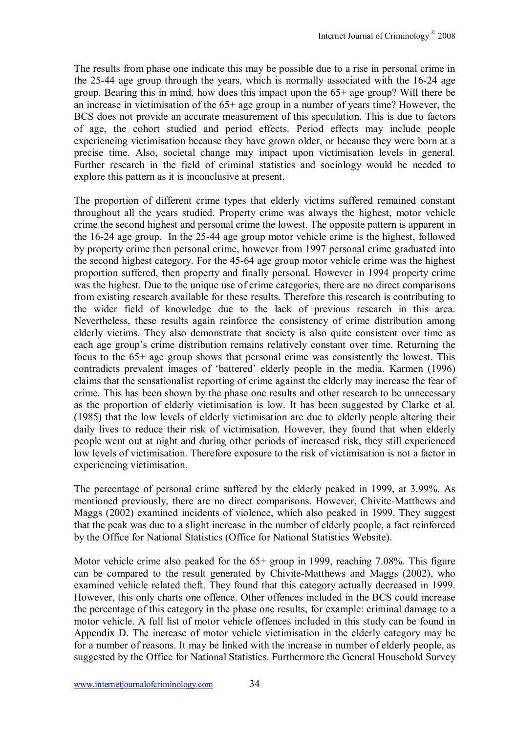The results from phase one indicate this may be possible due to a rise in personal crime in the 25-44 age group through the years, which is normally associated with the 16-24 age group. Bearing this in mind, how does this impact upon the 65+ age group? Will there be an increase in victimisation of the 65+ age group in a number of years time? However, the BCS does not provide an accurate measurement of this speculation. This is due to factors of age, the cohort studied and period effects. Period effects may include people experiencing victimisation because they have grown older, or because they were born at a precise time. Also, societal change may impact upon victimisation levels in general. Further research in the field of criminal statistics and sociology would be needed to explore this pattern as it is inconclusive at present.

The proportion of different crime types that elderly victims suffered remained constant throughout all the years studied. Property crime was always the highest, motor vehicle crime the second highest and personal crime the lowest. The opposite pattern is apparent in the 16-24 age group. In the 25-44 age group motor vehicle crime is the highest, followed by property crime then personal crime, however from 1997 personal crime graduated into the second highest category. For the 45-64 age group motor vehicle crime was the highest proportion suffered, then property and finally personal. However in 1994 property crime was the highest. Due to the unique use of crime categories, there are no direct comparisons from existing research available for these results. Therefore this research is contributing to the wider field of knowledge due to the lack of previous research in this area. Nevertheless, these results again reinforce the consistency of crime distribution among elderly victims. They also demonstrate that society is also quite consistent over time as each age group's crime distribution remains relatively constant over time. Returning the focus to the 65+ age group shows that personal crime was consistently the lowest. This contradicts prevalent images of 'battered' elderly people in the media. Karmen  $(1996)$ claims that the sensationalist reporting of crime against the elderly may increase the fear of crime. This has been shown by the phase one results and other research to be unnecessary as the proportion of elderly victimisation is low. It has been suggested by Clarke et al. (1985) that the low levels of elderly victimisation are due to elderly people altering their daily lives to reduce their risk of victimisation. However, they found that when elderly people went out at night and during other periods of increased risk, they still experienced low levels of victimisation. Therefore exposure to the risk of victimisation is not a factor in experiencing victimisation.

The percentage of personal crime suffered by the elderly peaked in 1999, at 3.99%. As mentioned previously, there are no direct comparisons. However, Chivite-Matthews and Maggs (2002) examined incidents of violence, which also peaked in 1999. They suggest that the peak was due to a slight increase in the number of elderly people, a fact reinforced by the Office for National Statistics (Office for National Statistics Website).

Motor vehicle crime also peaked for the  $65+$  group in 1999, reaching 7.08%. This figure can be compared to the result generated by Chivite-Matthews and Maggs (2002), who examined vehicle related theft. They found that this category actually decreased in 1999. However, this only charts one offence. Other offences included in the BCS could increase the percentage of this category in the phase one results, for example: criminal damage to a motor vehicle. A full list of motor vehicle offences included in this study can be found in Appendix D. The increase of motor vehicle victimisation in the elderly category may be for a number of reasons. It may be linked with the increase in number of elderly people, as suggested by the Office for National Statistics. Furthermore the General Household Survey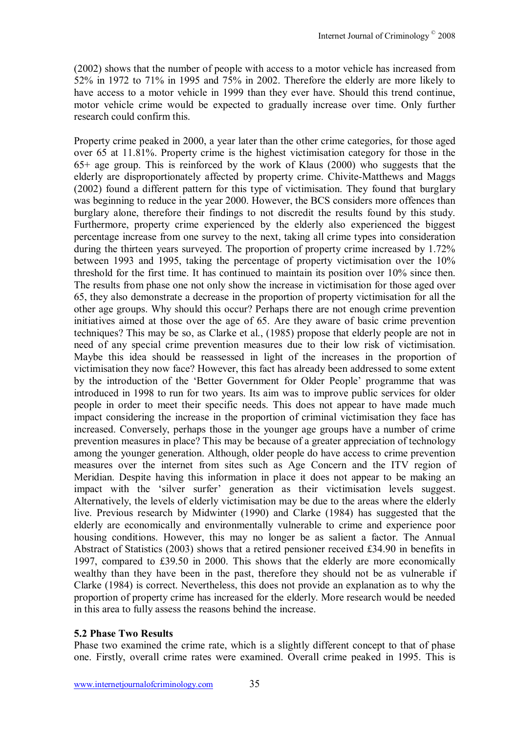(2002) shows that the number of people with access to a motor vehicle has increased from 52% in 1972 to 71% in 1995 and 75% in 2002. Therefore the elderly are more likely to have access to a motor vehicle in 1999 than they ever have. Should this trend continue, motor vehicle crime would be expected to gradually increase over time. Only further research could confirm this.

Property crime peaked in 2000, a year later than the other crime categories, for those aged over 65 at 11.81%. Property crime is the highest victimisation category for those in the 65+ age group. This is reinforced by the work of Klaus (2000) who suggests that the elderly are disproportionately affected by property crime. Chivite-Matthews and Maggs (2002) found a different pattern for this type of victimisation. They found that burglary was beginning to reduce in the year 2000. However, the BCS considers more offences than burglary alone, therefore their findings to not discredit the results found by this study. Furthermore, property crime experienced by the elderly also experienced the biggest percentage increase from one survey to the next, taking all crime types into consideration during the thirteen years surveyed. The proportion of property crime increased by 1.72% between 1993 and 1995, taking the percentage of property victimisation over the 10% threshold for the first time. It has continued to maintain its position over 10% since then. The results from phase one not only show the increase in victimisation for those aged over 65, they also demonstrate a decrease in the proportion of property victimisation for all the other age groups. Why should this occur? Perhaps there are not enough crime prevention initiatives aimed at those over the age of 65. Are they aware of basic crime prevention techniques? This may be so, as Clarke et al., (1985) propose that elderly people are not in need of any special crime prevention measures due to their low risk of victimisation. Maybe this idea should be reassessed in light of the increases in the proportion of victimisation they now face? However, this fact has already been addressed to some extent by the introduction of the 'Better Government for Older People' programme that was introduced in 1998 to run for two years. Its aim was to improve public services for older people in order to meet their specific needs. This does not appear to have made much impact considering the increase in the proportion of criminal victimisation they face has increased. Conversely, perhaps those in the younger age groups have a number of crime prevention measures in place? This may be because of a greater appreciation of technology among the younger generation. Although, older people do have access to crime prevention measures over the internet from sites such as Age Concern and the ITV region of Meridian. Despite having this information in place it does not appear to be making an impact with the 'silver surfer' generation as their victimisation levels suggest. Alternatively, the levels of elderly victimisation may be due to the areas where the elderly live. Previous research by Midwinter (1990) and Clarke (1984) has suggested that the elderly are economically and environmentally vulnerable to crime and experience poor housing conditions. However, this may no longer be as salient a factor. The Annual Abstract of Statistics (2003) shows that a retired pensioner received £34.90 in benefits in 1997, compared to £39.50 in 2000. This shows that the elderly are more economically wealthy than they have been in the past, therefore they should not be as vulnerable if Clarke (1984) is correct. Nevertheless, this does not provide an explanation as to why the proportion of property crime has increased for the elderly. More research would be needed in this area to fully assess the reasons behind the increase.

#### **5.2 Phase Two Results**

Phase two examined the crime rate, which is a slightly different concept to that of phase one. Firstly, overall crime rates were examined. Overall crime peaked in 1995. This is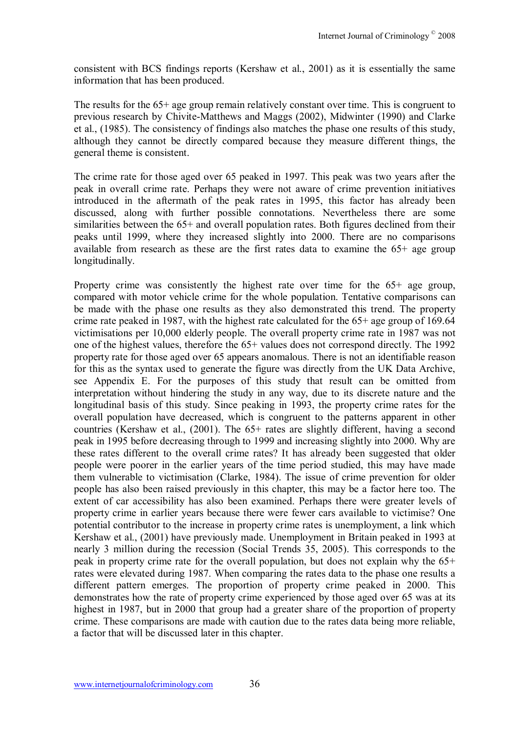consistent with BCS findings reports (Kershaw et al., 2001) as it is essentially the same information that has been produced.

The results for the 65+ age group remain relatively constant over time. This is congruent to previous research by Chivite-Matthews and Maggs (2002), Midwinter (1990) and Clarke et al., (1985). The consistency of findings also matches the phase one results of this study, although they cannot be directly compared because they measure different things, the general theme is consistent.

The crime rate for those aged over 65 peaked in 1997. This peak was two years after the peak in overall crime rate. Perhaps they were not aware of crime prevention initiatives introduced in the aftermath of the peak rates in 1995, this factor has already been discussed, along with further possible connotations. Nevertheless there are some similarities between the 65+ and overall population rates. Both figures declined from their peaks until 1999, where they increased slightly into 2000. There are no comparisons available from research as these are the first rates data to examine the 65+ age group longitudinally.

Property crime was consistently the highest rate over time for the 65+ age group, compared with motor vehicle crime for the whole population. Tentative comparisons can be made with the phase one results as they also demonstrated this trend. The property crime rate peaked in 1987, with the highest rate calculated for the 65+ age group of 169.64 victimisations per 10,000 elderly people. The overall property crime rate in 1987 was not one of the highest values, therefore the 65+ values does not correspond directly. The 1992 property rate for those aged over 65 appears anomalous. There is not an identifiable reason for this as the syntax used to generate the figure was directly from the UK Data Archive, see Appendix E. For the purposes of this study that result can be omitted from interpretation without hindering the study in any way, due to its discrete nature and the longitudinal basis of this study. Since peaking in 1993, the property crime rates for the overall population have decreased, which is congruent to the patterns apparent in other countries (Kershaw et al., (2001). The 65+ rates are slightly different, having a second peak in 1995 before decreasing through to 1999 and increasing slightly into 2000. Why are these rates different to the overall crime rates? It has already been suggested that older people were poorer in the earlier years of the time period studied, this may have made them vulnerable to victimisation (Clarke, 1984). The issue of crime prevention for older people has also been raised previously in this chapter, this may be a factor here too. The extent of car accessibility has also been examined. Perhaps there were greater levels of property crime in earlier years because there were fewer cars available to victimise? One potential contributor to the increase in property crime rates is unemployment, a link which Kershaw et al., (2001) have previously made. Unemployment in Britain peaked in 1993 at nearly 3 million during the recession (Social Trends 35, 2005). This corresponds to the peak in property crime rate for the overall population, but does not explain why the 65+ rates were elevated during 1987. When comparing the rates data to the phase one results a different pattern emerges. The proportion of property crime peaked in 2000. This demonstrates how the rate of property crime experienced by those aged over 65 was at its highest in 1987, but in 2000 that group had a greater share of the proportion of property crime. These comparisons are made with caution due to the rates data being more reliable, a factor that will be discussed later in this chapter.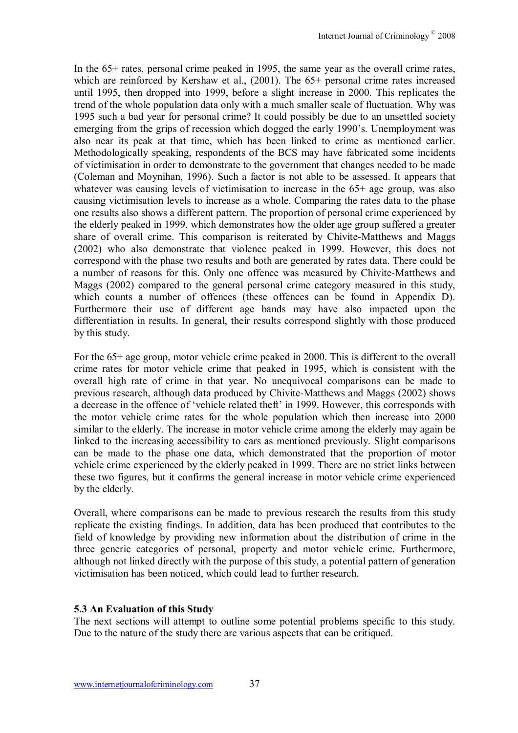In the 65+ rates, personal crime peaked in 1995, the same year as the overall crime rates, which are reinforced by Kershaw et al., (2001). The 65+ personal crime rates increased until 1995, then dropped into 1999, before a slight increase in 2000. This replicates the trend of the whole population data only with a much smaller scale of fluctuation. Why was 1995 such a bad year for personal crime? It could possibly be due to an unsettled society emerging from the grips of recession which dogged the early 1990's. Unemployment was also near its peak at that time, which has been linked to crime as mentioned earlier. Methodologically speaking, respondents of the BCS may have fabricated some incidents of victimisation in order to demonstrate to the government that changes needed to be made (Coleman and Moynihan, 1996). Such a factor is not able to be assessed. It appears that whatever was causing levels of victimisation to increase in the 65+ age group, was also causing victimisation levels to increase as a whole. Comparing the rates data to the phase one results also shows a different pattern. The proportion of personal crime experienced by the elderly peaked in 1999, which demonstrates how the older age group suffered a greater share of overall crime. This comparison is reiterated by Chivite-Matthews and Maggs (2002) who also demonstrate that violence peaked in 1999. However, this does not correspond with the phase two results and both are generated by rates data. There could be a number of reasons for this. Only one offence was measured by Chivite-Matthews and Maggs (2002) compared to the general personal crime category measured in this study, which counts a number of offences (these offences can be found in Appendix D). Furthermore their use of different age bands may have also impacted upon the differentiation in results. In general, their results correspond slightly with those produced by this study.

For the 65+ age group, motor vehicle crime peaked in 2000. This is different to the overall crime rates for motor vehicle crime that peaked in 1995, which is consistent with the overall high rate of crime in that year. No unequivocal comparisons can be made to previous research, although data produced by Chivite-Matthews and Maggs (2002) shows a decrease in the offence of 'vehicle related theft' in 1999. However, this corresponds with the motor vehicle crime rates for the whole population which then increase into 2000 similar to the elderly. The increase in motor vehicle crime among the elderly may again be linked to the increasing accessibility to cars as mentioned previously. Slight comparisons can be made to the phase one data, which demonstrated that the proportion of motor vehicle crime experienced by the elderly peaked in 1999. There are no strict links between these two figures, but it confirms the general increase in motor vehicle crime experienced by the elderly.

Overall, where comparisons can be made to previous research the results from this study replicate the existing findings. In addition, data has been produced that contributes to the field of knowledge by providing new information about the distribution of crime in the three generic categories of personal, property and motor vehicle crime. Furthermore, although not linked directly with the purpose of this study, a potential pattern of generation victimisation has been noticed, which could lead to further research.

#### **5.3 An Evaluation of this Study**

The next sections will attempt to outline some potential problems specific to this study. Due to the nature of the study there are various aspects that can be critiqued.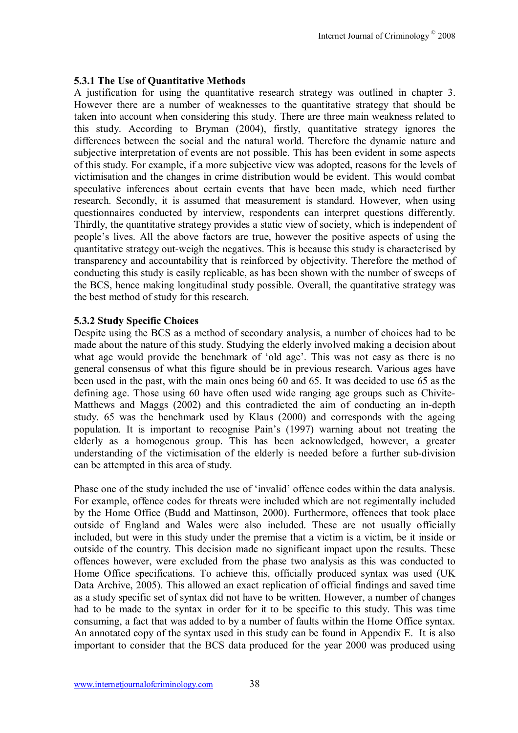#### **5.3.1 The Use of Quantitative Methods**

A justification for using the quantitative research strategy was outlined in chapter 3. However there are a number of weaknesses to the quantitative strategy that should be taken into account when considering this study. There are three main weakness related to this study. According to Bryman (2004), firstly, quantitative strategy ignores the differences between the social and the natural world. Therefore the dynamic nature and subjective interpretation of events are not possible. This has been evident in some aspects of this study. For example, if a more subjective view was adopted, reasons for the levels of victimisation and the changes in crime distribution would be evident. This would combat speculative inferences about certain events that have been made, which need further research. Secondly, it is assumed that measurement is standard. However, when using questionnaires conducted by interview, respondents can interpret questions differently. Thirdly, the quantitative strategy provides a static view of society, which is independent of people's lives. All the above factors are true, however the positive aspects of using the quantitative strategy out-weigh the negatives. This is because this study is characterised by transparency and accountability that is reinforced by objectivity. Therefore the method of conducting this study is easily replicable, as has been shown with the number of sweeps of the BCS, hence making longitudinal study possible. Overall, the quantitative strategy was the best method of study for this research.

#### **5.3.2 Study Specific Choices**

Despite using the BCS as a method of secondary analysis, a number of choices had to be made about the nature of this study. Studying the elderly involved making a decision about what age would provide the benchmark of 'old age'. This was not easy as there is no general consensus of what this figure should be in previous research. Various ages have been used in the past, with the main ones being 60 and 65. It was decided to use 65 as the defining age. Those using 60 have often used wide ranging age groups such as Chivite-Matthews and Maggs (2002) and this contradicted the aim of conducting an in-depth study. 65 was the benchmark used by Klaus (2000) and corresponds with the ageing population. It is important to recognise Pain's (1997) warning about not treating the elderly as a homogenous group. This has been acknowledged, however, a greater understanding of the victimisation of the elderly is needed before a further sub-division can be attempted in this area of study.

Phase one of the study included the use of 'invalid' offence codes within the data analysis. For example, offence codes for threats were included which are not regimentally included by the Home Office (Budd and Mattinson, 2000). Furthermore, offences that took place outside of England and Wales were also included. These are not usually officially included, but were in this study under the premise that a victim is a victim, be it inside or outside of the country. This decision made no significant impact upon the results. These offences however, were excluded from the phase two analysis as this was conducted to Home Office specifications. To achieve this, officially produced syntax was used (UK Data Archive, 2005). This allowed an exact replication of official findings and saved time as a study specific set of syntax did not have to be written. However, a number of changes had to be made to the syntax in order for it to be specific to this study. This was time consuming, a fact that was added to by a number of faults within the Home Office syntax. An annotated copy of the syntax used in this study can be found in Appendix E. It is also important to consider that the BCS data produced for the year 2000 was produced using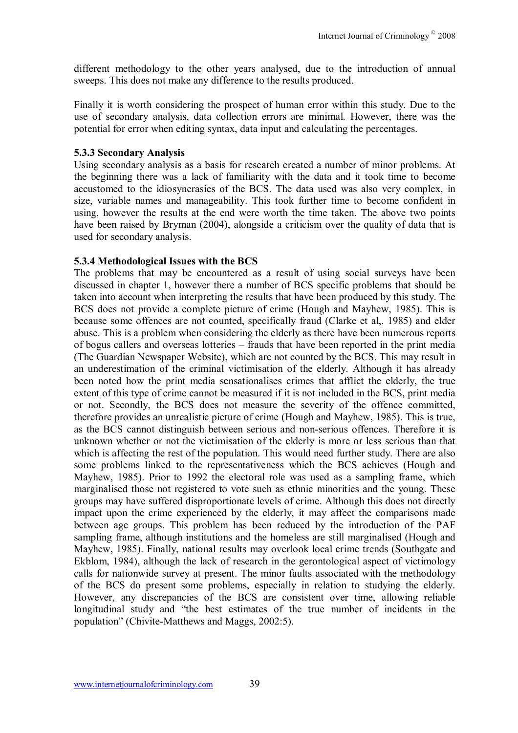different methodology to the other years analysed, due to the introduction of annual sweeps. This does not make any difference to the results produced.

Finally it is worth considering the prospect of human error within this study. Due to the use of secondary analysis, data collection errors are minimal. However, there was the potential for error when editing syntax, data input and calculating the percentages.

### **5.3.3 Secondary Analysis**

Using secondary analysis as a basis for research created a number of minor problems. At the beginning there was a lack of familiarity with the data and it took time to become accustomed to the idiosyncrasies of the BCS. The data used was also very complex, in size, variable names and manageability. This took further time to become confident in using, however the results at the end were worth the time taken. The above two points have been raised by Bryman (2004), alongside a criticism over the quality of data that is used for secondary analysis.

#### **5.3.4 Methodological Issues with the BCS**

The problems that may be encountered as a result of using social surveys have been discussed in chapter 1, however there a number of BCS specific problems that should be taken into account when interpreting the results that have been produced by this study. The BCS does not provide a complete picture of crime (Hough and Mayhew, 1985). This is because some offences are not counted, specifically fraud (Clarke et al,. 1985) and elder abuse. This is a problem when considering the elderly as there have been numerous reports of bogus callers and overseas lotteries – frauds that have been reported in the print media (The Guardian Newspaper Website), which are not counted by the BCS. This may result in an underestimation of the criminal victimisation of the elderly. Although it has already been noted how the print media sensationalises crimes that afflict the elderly, the true extent of this type of crime cannot be measured if it is not included in the BCS, print media or not. Secondly, the BCS does not measure the severity of the offence committed, therefore provides an unrealistic picture of crime (Hough and Mayhew, 1985). This is true, as the BCS cannot distinguish between serious and non-serious offences. Therefore it is unknown whether or not the victimisation of the elderly is more or less serious than that which is affecting the rest of the population. This would need further study. There are also some problems linked to the representativeness which the BCS achieves (Hough and Mayhew, 1985). Prior to 1992 the electoral role was used as a sampling frame, which marginalised those not registered to vote such as ethnic minorities and the young. These groups may have suffered disproportionate levels of crime. Although this does not directly impact upon the crime experienced by the elderly, it may affect the comparisons made between age groups. This problem has been reduced by the introduction of the PAF sampling frame, although institutions and the homeless are still marginalised (Hough and Mayhew, 1985). Finally, national results may overlook local crime trends (Southgate and Ekblom, 1984), although the lack of research in the gerontological aspect of victimology calls for nationwide survey at present. The minor faults associated with the methodology of the BCS do present some problems, especially in relation to studying the elderly. However, any discrepancies of the BCS are consistent over time, allowing reliable longitudinal study and "the best estimates of the true number of incidents in the population" (Chivite-Matthews and Maggs, 2002:5).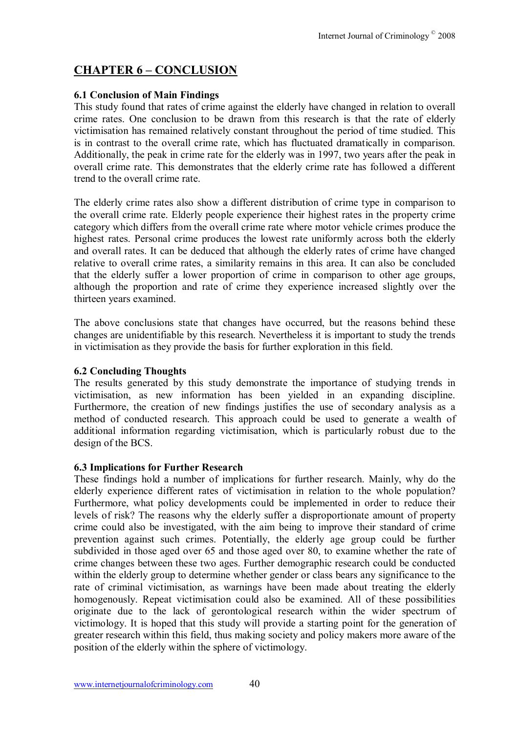# **CHAPTER 6 - CONCLUSION**

### **6.1 Conclusion of Main Findings**

This study found that rates of crime against the elderly have changed in relation to overall crime rates. One conclusion to be drawn from this research is that the rate of elderly victimisation has remained relatively constant throughout the period of time studied. This is in contrast to the overall crime rate, which has fluctuated dramatically in comparison. Additionally, the peak in crime rate for the elderly was in 1997, two years after the peak in overall crime rate. This demonstrates that the elderly crime rate has followed a different trend to the overall crime rate.

The elderly crime rates also show a different distribution of crime type in comparison to the overall crime rate. Elderly people experience their highest rates in the property crime category which differs from the overall crime rate where motor vehicle crimes produce the highest rates. Personal crime produces the lowest rate uniformly across both the elderly and overall rates. It can be deduced that although the elderly rates of crime have changed relative to overall crime rates, a similarity remains in this area. It can also be concluded that the elderly suffer a lower proportion of crime in comparison to other age groups, although the proportion and rate of crime they experience increased slightly over the thirteen years examined.

The above conclusions state that changes have occurred, but the reasons behind these changes are unidentifiable by this research. Nevertheless it is important to study the trends in victimisation as they provide the basis for further exploration in this field.

### **6.2 Concluding Thoughts**

The results generated by this study demonstrate the importance of studying trends in victimisation, as new information has been yielded in an expanding discipline. Furthermore, the creation of new findings justifies the use of secondary analysis as a method of conducted research. This approach could be used to generate a wealth of additional information regarding victimisation, which is particularly robust due to the design of the BCS.

#### **6.3 Implications for Further Research**

These findings hold a number of implications for further research. Mainly, why do the elderly experience different rates of victimisation in relation to the whole population? Furthermore, what policy developments could be implemented in order to reduce their levels of risk? The reasons why the elderly suffer a disproportionate amount of property crime could also be investigated, with the aim being to improve their standard of crime prevention against such crimes. Potentially, the elderly age group could be further subdivided in those aged over 65 and those aged over 80, to examine whether the rate of crime changes between these two ages. Further demographic research could be conducted within the elderly group to determine whether gender or class bears any significance to the rate of criminal victimisation, as warnings have been made about treating the elderly homogenously. Repeat victimisation could also be examined. All of these possibilities originate due to the lack of gerontological research within the wider spectrum of victimology. It is hoped that this study will provide a starting point for the generation of greater research within this field, thus making society and policy makers more aware of the position of the elderly within the sphere of victimology.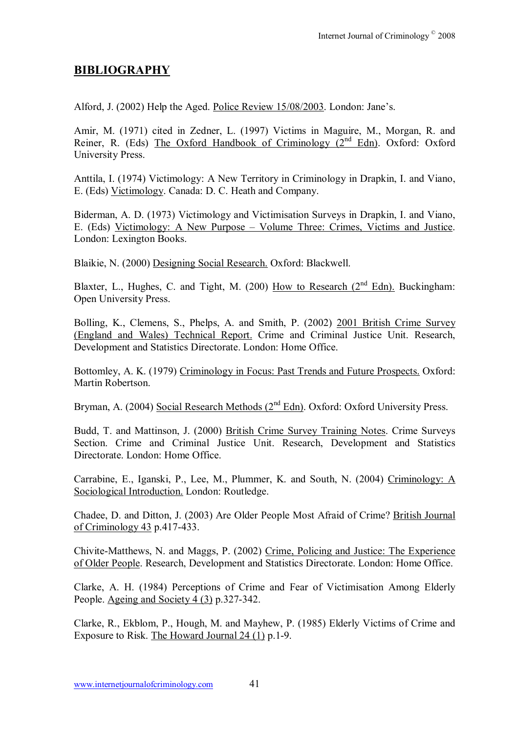# **BIBLIOGRAPHY**

Alford, J. (2002) Help the Aged. Police Review 15/08/2003. London: Jane's.

Amir, M. (1971) cited in Zedner, L. (1997) Victims in Maguire, M., Morgan, R. and Reiner, R. (Eds) The Oxford Handbook of Criminology  $(2^{nd}$  Edn). Oxford: Oxford University Press.

Anttila, I. (1974) Victimology: A New Territory in Criminology in Drapkin, I. and Viano, E. (Eds) Victimology. Canada: D. C. Heath and Company.

Biderman, A. D. (1973) Victimology and Victimisation Surveys in Drapkin, I. and Viano, E. (Eds) Victimology: A New Purpose – Volume Three: Crimes, Victims and Justice. London: Lexington Books.

Blaikie, N. (2000) Designing Social Research. Oxford: Blackwell.

Blaxter, L., Hughes, C. and Tight, M. (200) How to Research (2<sup>nd</sup> Edn). Buckingham: Open University Press.

Bolling, K., Clemens, S., Phelps, A. and Smith, P. (2002) 2001 British Crime Survey (England and Wales) Technical Report. Crime and Criminal Justice Unit. Research, Development and Statistics Directorate. London: Home Office.

Bottomley, A. K. (1979) Criminology in Focus: Past Trends and Future Prospects. Oxford: Martin Robertson.

Bryman, A. (2004) Social Research Methods (2<sup>nd</sup> Edn). Oxford: Oxford University Press.

Budd, T. and Mattinson, J. (2000) British Crime Survey Training Notes. Crime Surveys Section. Crime and Criminal Justice Unit. Research, Development and Statistics Directorate. London: Home Office.

Carrabine, E., Iganski, P., Lee, M., Plummer, K. and South, N. (2004) Criminology: A Sociological Introduction. London: Routledge.

Chadee, D. and Ditton, J. (2003) Are Older People Most Afraid of Crime? British Journal of Criminology 43 p.417-433.

Chivite-Matthews, N. and Maggs, P. (2002) Crime, Policing and Justice: The Experience of Older People. Research, Development and Statistics Directorate. London: Home Office.

Clarke, A. H. (1984) Perceptions of Crime and Fear of Victimisation Among Elderly People. Ageing and Society 4 (3) p.327-342.

Clarke, R., Ekblom, P., Hough, M. and Mayhew, P. (1985) Elderly Victims of Crime and Exposure to Risk. The Howard Journal 24 (1) p.1-9.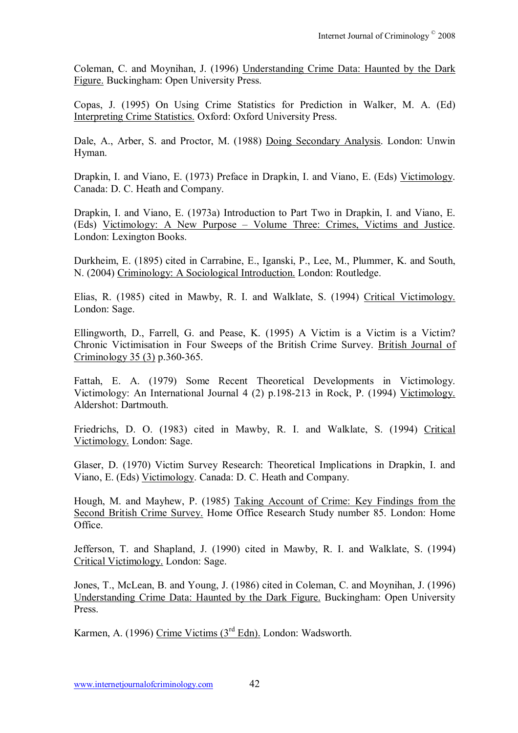Coleman, C. and Moynihan, J. (1996) Understanding Crime Data: Haunted by the Dark Figure. Buckingham: Open University Press.

Copas, J. (1995) On Using Crime Statistics for Prediction in Walker, M. A. (Ed) Interpreting Crime Statistics. Oxford: Oxford University Press.

Dale, A., Arber, S. and Proctor, M. (1988) Doing Secondary Analysis. London: Unwin Hyman.

Drapkin, I. and Viano, E. (1973) Preface in Drapkin, I. and Viano, E. (Eds) Victimology. Canada: D. C. Heath and Company.

Drapkin, I. and Viano, E. (1973a) Introduction to Part Two in Drapkin, I. and Viano, E. (Eds) Victimology: A New Purpose – Volume Three: Crimes, Victims and Justice. London: Lexington Books.

Durkheim, E. (1895) cited in Carrabine, E., Iganski, P., Lee, M., Plummer, K. and South, N. (2004) Criminology: A Sociological Introduction. London: Routledge.

Elias, R. (1985) cited in Mawby, R. I. and Walklate, S. (1994) Critical Victimology. London: Sage.

Ellingworth, D., Farrell, G. and Pease, K. (1995) A Victim is a Victim is a Victim? Chronic Victimisation in Four Sweeps of the British Crime Survey. British Journal of Criminology 35 (3) p.360-365.

Fattah, E. A. (1979) Some Recent Theoretical Developments in Victimology. Victimology: An International Journal 4 (2) p.198-213 in Rock, P. (1994) Victimology. Aldershot: Dartmouth.

Friedrichs, D. O. (1983) cited in Mawby, R. I. and Walklate, S. (1994) Critical Victimology. London: Sage.

Glaser, D. (1970) Victim Survey Research: Theoretical Implications in Drapkin, I. and Viano, E. (Eds) Victimology. Canada: D. C. Heath and Company.

Hough, M. and Mayhew, P. (1985) Taking Account of Crime: Key Findings from the Second British Crime Survey. Home Office Research Study number 85. London: Home Office.

Jefferson, T. and Shapland, J. (1990) cited in Mawby, R. I. and Walklate, S. (1994) Critical Victimology. London: Sage.

Jones, T., McLean, B. and Young, J. (1986) cited in Coleman, C. and Moynihan, J. (1996) Understanding Crime Data: Haunted by the Dark Figure. Buckingham: Open University Press.

Karmen, A. (1996) Crime Victims (3rd Edn). London: Wadsworth.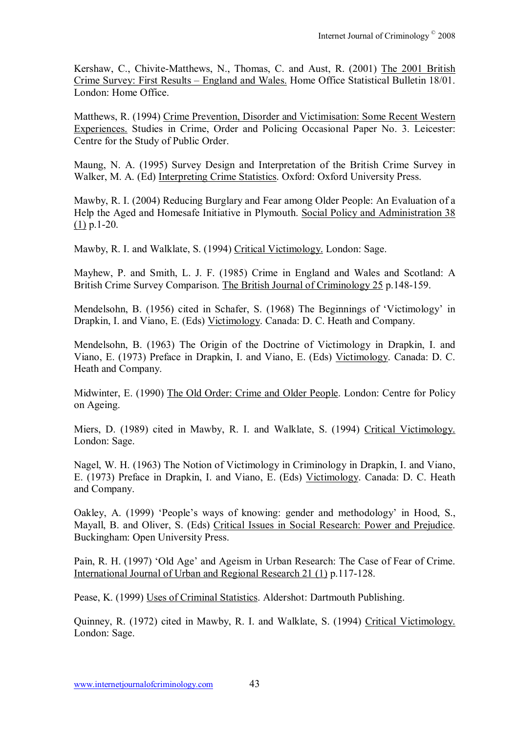Kershaw, C., Chivite-Matthews, N., Thomas, C. and Aust, R. (2001) The 2001 British Crime Survey: First Results – England and Wales. Home Office Statistical Bulletin 18/01. London: Home Office.

Matthews, R. (1994) Crime Prevention, Disorder and Victimisation: Some Recent Western Experiences. Studies in Crime, Order and Policing Occasional Paper No. 3. Leicester: Centre for the Study of Public Order.

Maung, N. A. (1995) Survey Design and Interpretation of the British Crime Survey in Walker, M. A. (Ed) Interpreting Crime Statistics. Oxford: Oxford University Press.

Mawby, R. I. (2004) Reducing Burglary and Fear among Older People: An Evaluation of a Help the Aged and Homesafe Initiative in Plymouth. Social Policy and Administration 38 (1) p.1-20.

Mawby, R. I. and Walklate, S. (1994) Critical Victimology. London: Sage.

Mayhew, P. and Smith, L. J. F. (1985) Crime in England and Wales and Scotland: A British Crime Survey Comparison. The British Journal of Criminology 25 p.148-159.

Mendelsohn, B. (1956) cited in Schafer, S. (1968) The Beginnings of 'Victimology' in Drapkin, I. and Viano, E. (Eds) Victimology. Canada: D. C. Heath and Company.

Mendelsohn, B. (1963) The Origin of the Doctrine of Victimology in Drapkin, I. and Viano, E. (1973) Preface in Drapkin, I. and Viano, E. (Eds) Victimology. Canada: D. C. Heath and Company.

Midwinter, E. (1990) The Old Order: Crime and Older People. London: Centre for Policy on Ageing.

Miers, D. (1989) cited in Mawby, R. I. and Walklate, S. (1994) Critical Victimology. London: Sage.

Nagel, W. H. (1963) The Notion of Victimology in Criminology in Drapkin, I. and Viano, E. (1973) Preface in Drapkin, I. and Viano, E. (Eds) Victimology. Canada: D. C. Heath and Company.

Oakley, A. (1999) 'People's ways of knowing: gender and methodology' in Hood, S., Mayall, B. and Oliver, S. (Eds) Critical Issues in Social Research: Power and Prejudice. Buckingham: Open University Press.

Pain, R. H. (1997) 'Old Age' and Ageism in Urban Research: The Case of Fear of Crime. International Journal of Urban and Regional Research 21 (1) p.117-128.

Pease, K. (1999) Uses of Criminal Statistics. Aldershot: Dartmouth Publishing.

Quinney, R. (1972) cited in Mawby, R. I. and Walklate, S. (1994) Critical Victimology. London: Sage.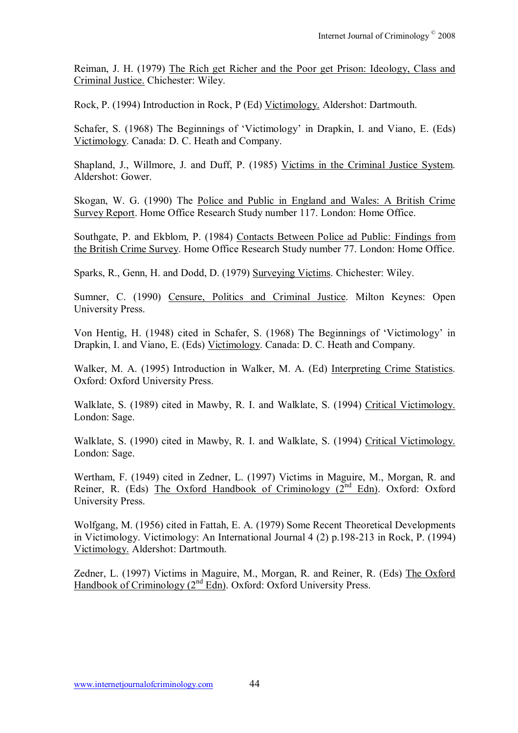Reiman, J. H. (1979) The Rich get Richer and the Poor get Prison: Ideology, Class and Criminal Justice. Chichester: Wiley.

Rock, P. (1994) Introduction in Rock, P (Ed) Victimology. Aldershot: Dartmouth.

Schafer, S. (1968) The Beginnings of 'Victimology' in Drapkin, I. and Viano, E. (Eds) Victimology. Canada: D. C. Heath and Company.

Shapland, J., Willmore, J. and Duff, P. (1985) Victims in the Criminal Justice System. Aldershot: Gower.

Skogan, W. G. (1990) The Police and Public in England and Wales: A British Crime Survey Report. Home Office Research Study number 117. London: Home Office.

Southgate, P. and Ekblom, P. (1984) Contacts Between Police ad Public: Findings from the British Crime Survey. Home Office Research Study number 77. London: Home Office.

Sparks, R., Genn, H. and Dodd, D. (1979) Surveying Victims. Chichester: Wiley.

Sumner, C. (1990) Censure, Politics and Criminal Justice. Milton Keynes: Open University Press.

Von Hentig, H. (1948) cited in Schafer, S. (1968) The Beginnings of 'Victimology' in Drapkin, I. and Viano, E. (Eds) Victimology. Canada: D. C. Heath and Company.

Walker, M. A. (1995) Introduction in Walker, M. A. (Ed) Interpreting Crime Statistics. Oxford: Oxford University Press.

Walklate, S. (1989) cited in Mawby, R. I. and Walklate, S. (1994) Critical Victimology. London: Sage.

Walklate, S. (1990) cited in Mawby, R. I. and Walklate, S. (1994) Critical Victimology. London: Sage.

Wertham, F. (1949) cited in Zedner, L. (1997) Victims in Maguire, M., Morgan, R. and Reiner, R. (Eds) The Oxford Handbook of Criminology  $(2^{nd}$  Edn). Oxford: Oxford University Press.

Wolfgang, M. (1956) cited in Fattah, E. A. (1979) Some Recent Theoretical Developments in Victimology. Victimology: An International Journal 4 (2) p.198-213 in Rock, P. (1994) Victimology. Aldershot: Dartmouth.

Zedner, L. (1997) Victims in Maguire, M., Morgan, R. and Reiner, R. (Eds) The Oxford Handbook of Criminology (2<sup>nd</sup> Edn). Oxford: Oxford University Press.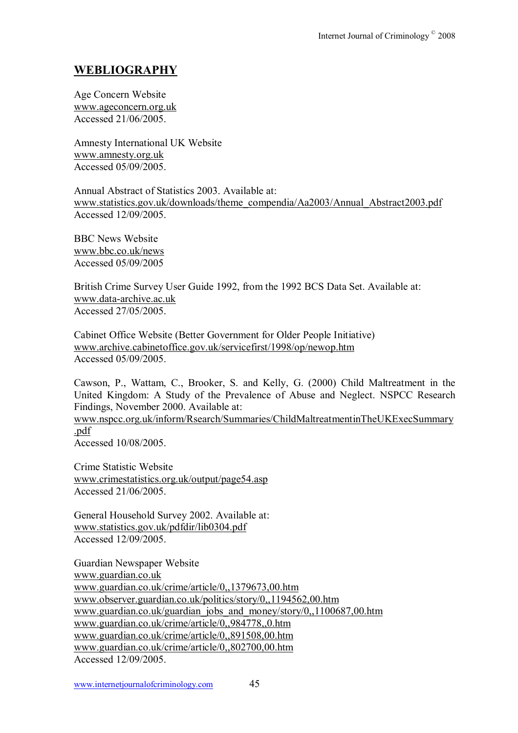# **WEBLIOGRAPHY**

Age Concern Website www.ageconcern.org.uk Accessed 21/06/2005.

Amnesty International UK Website www.amnesty.org.uk Accessed 05/09/2005.

Annual Abstract of Statistics 2003. Available at: www.statistics.gov.uk/downloads/theme\_compendia/Aa2003/Annual\_Abstract2003.pdf Accessed 12/09/2005.

BBC News Website www.bbc.co.uk/news Accessed 05/09/2005

British Crime Survey User Guide 1992, from the 1992 BCS Data Set. Available at: www.data-archive.ac.uk Accessed 27/05/2005.

Cabinet Office Website (Better Government for Older People Initiative) www.archive.cabinetoffice.gov.uk/servicefirst/1998/op/newop.htm Accessed 05/09/2005.

Cawson, P., Wattam, C., Brooker, S. and Kelly, G. (2000) Child Maltreatment in the United Kingdom: A Study of the Prevalence of Abuse and Neglect. NSPCC Research Findings, November 2000. Available at:

www.nspcc.org.uk/inform/Rsearch/Summaries/ChildMaltreatmentinTheUKExecSummary .pdf

Accessed 10/08/2005.

Crime Statistic Website www.crimestatistics.org.uk/output/page54.asp Accessed 21/06/2005.

General Household Survey 2002. Available at: www.statistics.gov.uk/pdfdir/lib0304.pdf Accessed 12/09/2005.

Guardian Newspaper Website www.guardian.co.uk www.guardian.co.uk/crime/article/0,,1379673,00.htm www.observer.guardian.co.uk/politics/story/0,,1194562,00.htm www.guardian.co.uk/guardian\_jobs\_and\_money/story/0,,1100687,00.htm www.guardian.co.uk/crime/article/0,,984778,,0.htm www.guardian.co.uk/crime/article/0,,891508,00.htm www.guardian.co.uk/crime/article/0,,802700,00.htm Accessed 12/09/2005.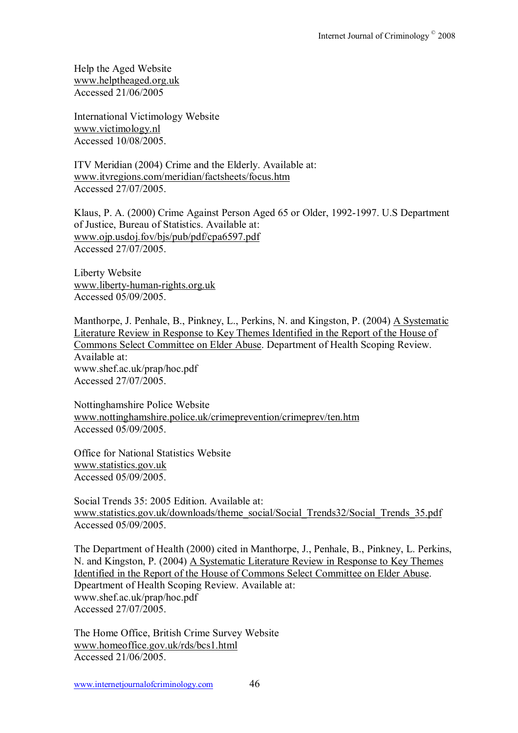Help the Aged Website www.helptheaged.org.uk Accessed 21/06/2005

International Victimology Website www.victimology.nl Accessed 10/08/2005.

ITV Meridian (2004) Crime and the Elderly. Available at: www.itvregions.com/meridian/factsheets/focus.htm Accessed 27/07/2005.

Klaus, P. A. (2000) Crime Against Person Aged 65 or Older, 1992-1997. U.S Department of Justice, Bureau of Statistics. Available at: www.ojp.usdoj.fov/bjs/pub/pdf/cpa6597.pdf Accessed 27/07/2005.

Liberty Website www.liberty-human-rights.org.uk Accessed 05/09/2005.

Manthorpe, J. Penhale, B., Pinkney, L., Perkins, N. and Kingston, P. (2004) A Systematic Literature Review in Response to Key Themes Identified in the Report of the House of Commons Select Committee on Elder Abuse. Department of Health Scoping Review. Available at: www.shef.ac.uk/prap/hoc.pdf Accessed 27/07/2005.

Nottinghamshire Police Website www.nottinghamshire.police.uk/crimeprevention/crimeprev/ten.htm Accessed 05/09/2005.

Office for National Statistics Website www.statistics.gov.uk Accessed 05/09/2005.

Social Trends 35: 2005 Edition. Available at: www.statistics.gov.uk/downloads/theme\_social/Social\_Trends32/Social\_Trends\_35.pdf Accessed 05/09/2005.

The Department of Health (2000) cited in Manthorpe, J., Penhale, B., Pinkney, L. Perkins, N. and Kingston, P. (2004) A Systematic Literature Review in Response to Key Themes Identified in the Report of the House of Commons Select Committee on Elder Abuse. Dpeartment of Health Scoping Review. Available at: www.shef.ac.uk/prap/hoc.pdf Accessed 27/07/2005.

The Home Office, British Crime Survey Website www.homeoffice.gov.uk/rds/bcs1.html Accessed 21/06/2005.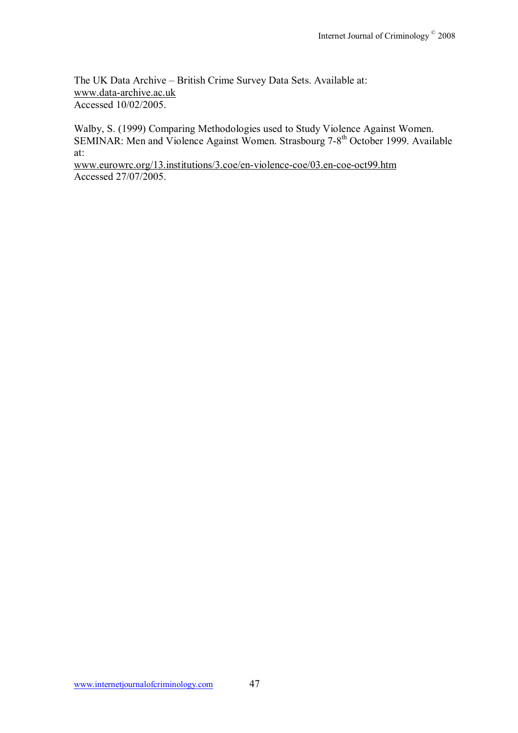The UK Data Archive - British Crime Survey Data Sets. Available at: www.data-archive.ac.uk Accessed 10/02/2005.

Walby, S. (1999) Comparing Methodologies used to Study Violence Against Women. SEMINAR: Men and Violence Against Women. Strasbourg 7-8<sup>th</sup> October 1999. Available at:

www.eurowrc.org/13.institutions/3.coe/en-violence-coe/03.en-coe-oct99.htm Accessed 27/07/2005.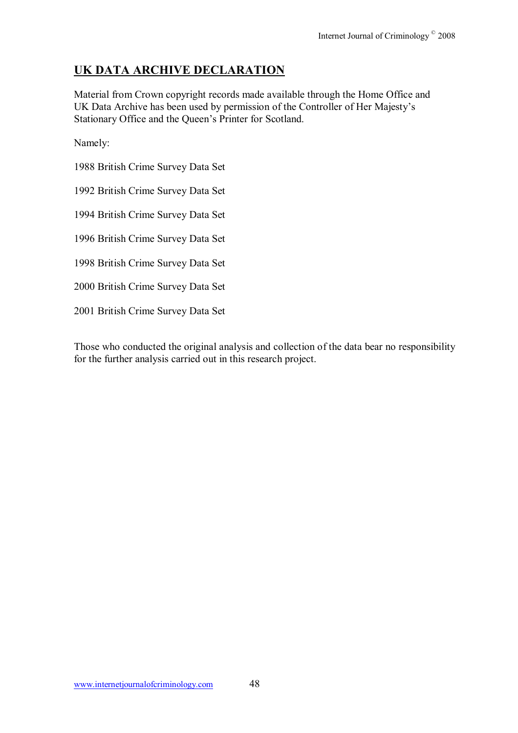# **UK DATA ARCHIVE DECLARATION**

Material from Crown copyright records made available through the Home Office and UK Data Archive has been used by permission of the Controller of Her Majesty's Stationary Office and the Queen's Printer for Scotland.

Namely:

1988 British Crime Survey Data Set

1992 British Crime Survey Data Set

1994 British Crime Survey Data Set

1996 British Crime Survey Data Set

1998 British Crime Survey Data Set

2000 British Crime Survey Data Set

2001 British Crime Survey Data Set

Those who conducted the original analysis and collection of the data bear no responsibility for the further analysis carried out in this research project.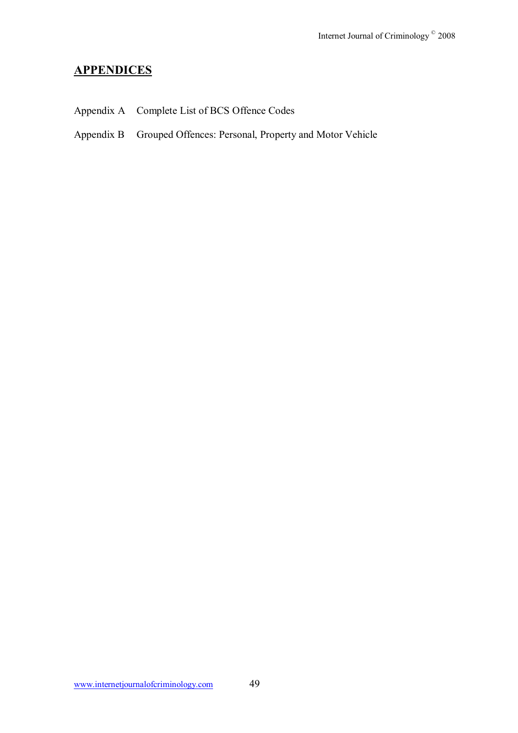# **APPENDICES**

- Appendix A Complete List of BCS Offence Codes
- Appendix B Grouped Offences: Personal, Property and Motor Vehicle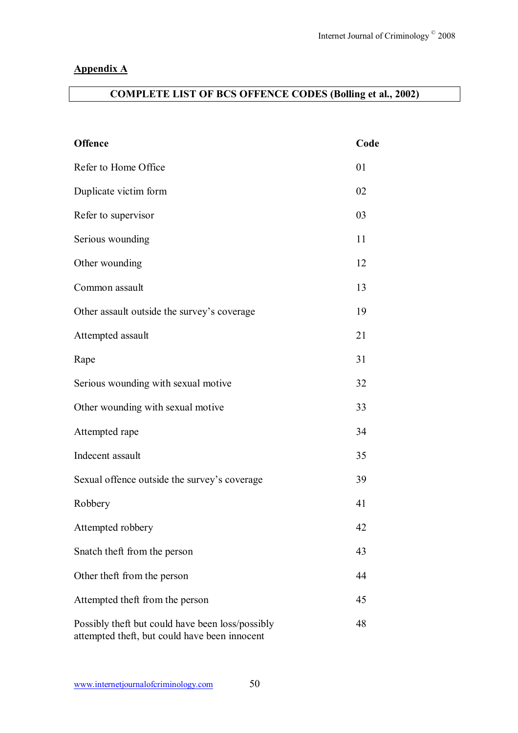# **Appendix A**

# **COMPLETE LIST OF BCS OFFENCE CODES (Bolling et al., 2002)**

| <b>Offence</b>                                                                                    | Code |
|---------------------------------------------------------------------------------------------------|------|
| Refer to Home Office                                                                              | 01   |
| Duplicate victim form                                                                             | 02   |
| Refer to supervisor                                                                               | 03   |
| Serious wounding                                                                                  | 11   |
| Other wounding                                                                                    | 12   |
| Common assault                                                                                    | 13   |
| Other assault outside the survey's coverage                                                       | 19   |
| Attempted assault                                                                                 | 21   |
| Rape                                                                                              | 31   |
| Serious wounding with sexual motive                                                               | 32   |
| Other wounding with sexual motive                                                                 | 33   |
| Attempted rape                                                                                    | 34   |
| Indecent assault                                                                                  | 35   |
| Sexual offence outside the survey's coverage                                                      | 39   |
| Robbery                                                                                           | 41   |
| Attempted robbery                                                                                 | 42   |
| Snatch theft from the person                                                                      | 43   |
| Other theft from the person                                                                       | 44   |
| Attempted theft from the person                                                                   | 45   |
| Possibly theft but could have been loss/possibly<br>attempted theft, but could have been innocent | 48   |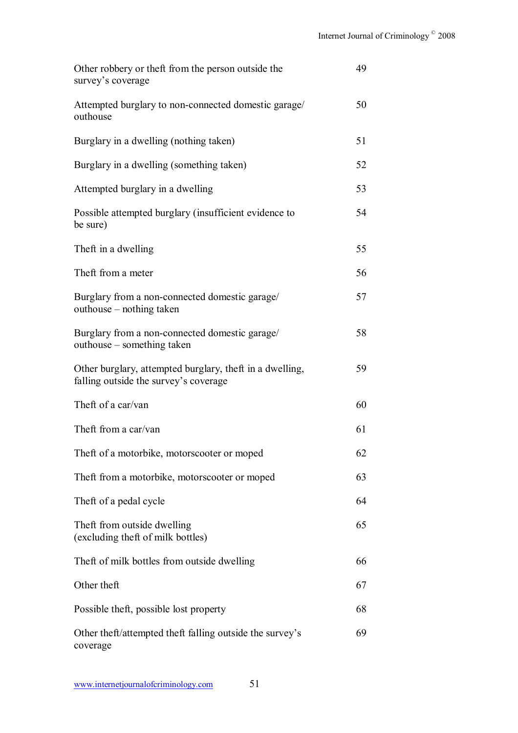| Other robbery or theft from the person outside the<br>survey's coverage                           | 49 |
|---------------------------------------------------------------------------------------------------|----|
| Attempted burglary to non-connected domestic garage/<br>outhouse                                  | 50 |
| Burglary in a dwelling (nothing taken)                                                            | 51 |
| Burglary in a dwelling (something taken)                                                          | 52 |
| Attempted burglary in a dwelling                                                                  | 53 |
| Possible attempted burglary (insufficient evidence to<br>be sure)                                 | 54 |
| Theft in a dwelling                                                                               | 55 |
| Theft from a meter                                                                                | 56 |
| Burglary from a non-connected domestic garage/<br>outhouse – nothing taken                        | 57 |
| Burglary from a non-connected domestic garage/<br>outhouse – something taken                      | 58 |
| Other burglary, attempted burglary, theft in a dwelling,<br>falling outside the survey's coverage | 59 |
| Theft of a car/van                                                                                | 60 |
| Theft from a car/van                                                                              | 61 |
| Theft of a motorbike, motorscooter or moped                                                       | 62 |
| Theft from a motorbike, motorscooter or moped                                                     | 63 |
| Theft of a pedal cycle                                                                            | 64 |
| Theft from outside dwelling<br>(excluding theft of milk bottles)                                  | 65 |
| Theft of milk bottles from outside dwelling                                                       | 66 |
| Other theft                                                                                       | 67 |
| Possible theft, possible lost property                                                            | 68 |
| Other theft/attempted theft falling outside the survey's<br>coverage                              | 69 |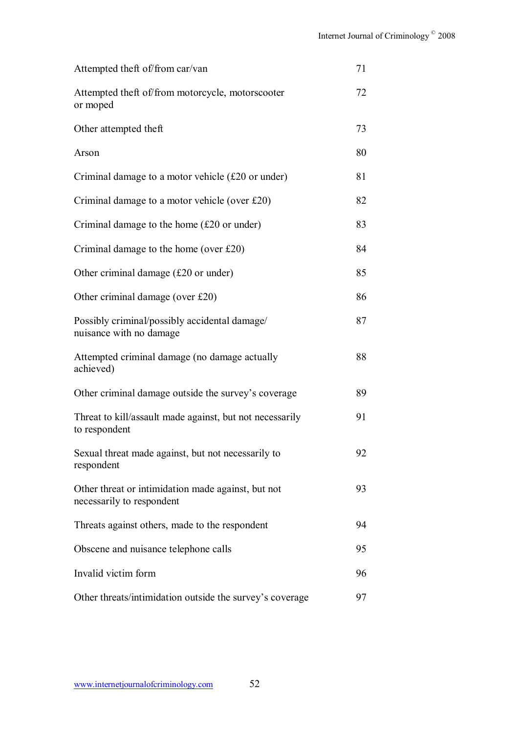| Attempted theft of/from car/van                                                 | 71 |
|---------------------------------------------------------------------------------|----|
| Attempted theft of/from motorcycle, motorscooter<br>or moped                    | 72 |
| Other attempted theft                                                           | 73 |
| Arson                                                                           | 80 |
| Criminal damage to a motor vehicle $(f20 \text{ or under})$                     | 81 |
| Criminal damage to a motor vehicle (over $£20$ )                                | 82 |
| Criminal damage to the home $(f20 \text{ or under})$                            | 83 |
| Criminal damage to the home (over $£20$ )                                       | 84 |
| Other criminal damage (£20 or under)                                            | 85 |
| Other criminal damage (over £20)                                                | 86 |
| Possibly criminal/possibly accidental damage/<br>nuisance with no damage        | 87 |
| Attempted criminal damage (no damage actually<br>achieved)                      | 88 |
| Other criminal damage outside the survey's coverage                             | 89 |
| Threat to kill/assault made against, but not necessarily<br>to respondent       | 91 |
| Sexual threat made against, but not necessarily to<br>respondent                | 92 |
| Other threat or intimidation made against, but not<br>necessarily to respondent | 93 |
| Threats against others, made to the respondent                                  | 94 |
| Obscene and nuisance telephone calls                                            | 95 |
| Invalid victim form                                                             | 96 |
| Other threats/intimidation outside the survey's coverage                        | 97 |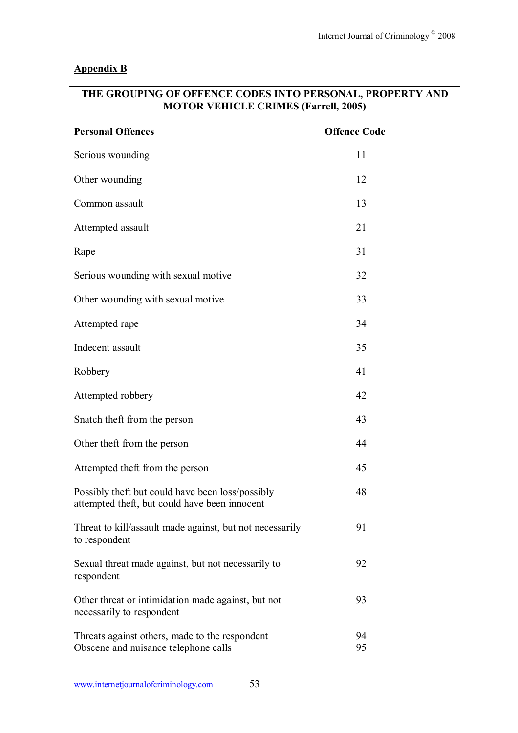### **Appendix B**

## **THE GROUPING OF OFFENCE CODES INTO PERSONAL, PROPERTY AND MOTOR VEHICLE CRIMES (Farrell, 2005)**

| <b>Personal Offences</b>                                                                          | <b>Offence Code</b> |
|---------------------------------------------------------------------------------------------------|---------------------|
| Serious wounding                                                                                  | 11                  |
| Other wounding                                                                                    | 12                  |
| Common assault                                                                                    | 13                  |
| Attempted assault                                                                                 | 21                  |
| Rape                                                                                              | 31                  |
| Serious wounding with sexual motive                                                               | 32                  |
| Other wounding with sexual motive                                                                 | 33                  |
| Attempted rape                                                                                    | 34                  |
| Indecent assault                                                                                  | 35                  |
| Robbery                                                                                           | 41                  |
| Attempted robbery                                                                                 | 42                  |
| Snatch theft from the person                                                                      | 43                  |
| Other theft from the person                                                                       | 44                  |
| Attempted theft from the person                                                                   | 45                  |
| Possibly theft but could have been loss/possibly<br>attempted theft, but could have been innocent | 48                  |
| Threat to kill/assault made against, but not necessarily<br>to respondent                         | 91                  |
| Sexual threat made against, but not necessarily to<br>respondent                                  | 92                  |
| Other threat or intimidation made against, but not<br>necessarily to respondent                   | 93                  |
| Threats against others, made to the respondent<br>Obscene and nuisance telephone calls            | 94<br>95            |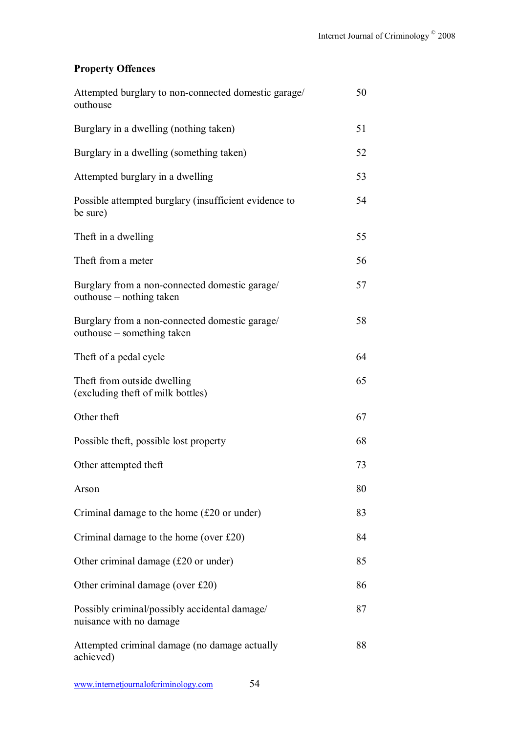# **Property Offences**

| Attempted burglary to non-connected domestic garage/<br>outhouse             | 50 |
|------------------------------------------------------------------------------|----|
| Burglary in a dwelling (nothing taken)                                       | 51 |
| Burglary in a dwelling (something taken)                                     | 52 |
| Attempted burglary in a dwelling                                             | 53 |
| Possible attempted burglary (insufficient evidence to<br>be sure)            | 54 |
| Theft in a dwelling                                                          | 55 |
| Theft from a meter                                                           | 56 |
| Burglary from a non-connected domestic garage/<br>outhouse – nothing taken   | 57 |
| Burglary from a non-connected domestic garage/<br>outhouse – something taken | 58 |
| Theft of a pedal cycle                                                       | 64 |
| Theft from outside dwelling<br>(excluding theft of milk bottles)             | 65 |
| Other theft                                                                  | 67 |
| Possible theft, possible lost property                                       | 68 |
| Other attempted theft                                                        | 73 |
| Arson                                                                        | 80 |
| Criminal damage to the home $(f20 \text{ or under})$                         | 83 |
| Criminal damage to the home (over $£20$ )                                    | 84 |
| Other criminal damage (£20 or under)                                         | 85 |
| Other criminal damage (over £20)                                             | 86 |
| Possibly criminal/possibly accidental damage/<br>nuisance with no damage     | 87 |
| Attempted criminal damage (no damage actually<br>achieved)                   | 88 |